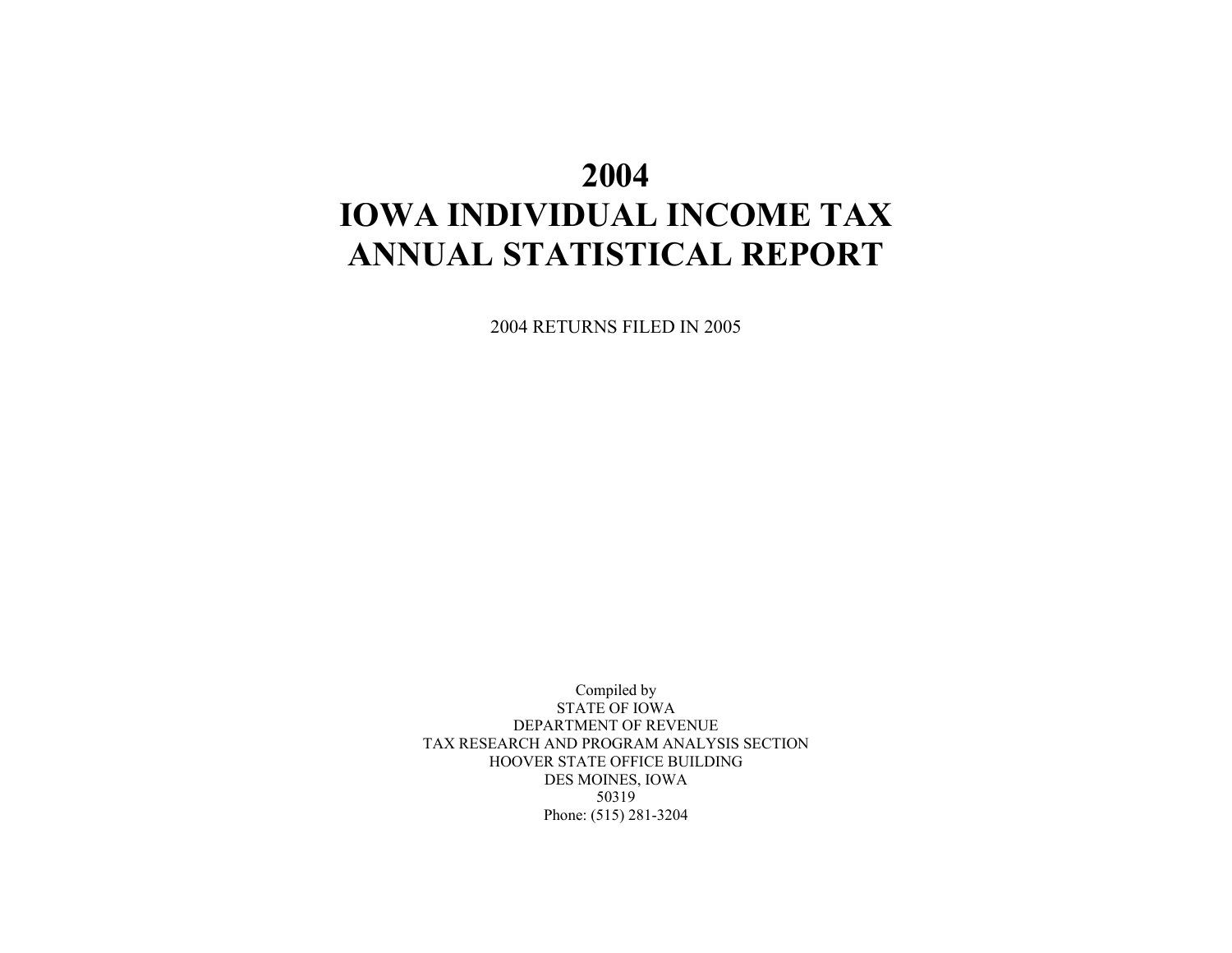# **2004 IOWA INDIVIDUAL INCOME TAX ANNUAL STATISTICAL REPORT**

2004 RETURNS FILED IN 2005

Compiled by STATE OF IOWA DEPARTMENT OF REVENUE TAX RESEARCH AND PROGRAM ANALYSIS SECTION HOOVER STATE OFFICE BUILDING DES MOINES, IOWA 50319 Phone: (515) 281-3204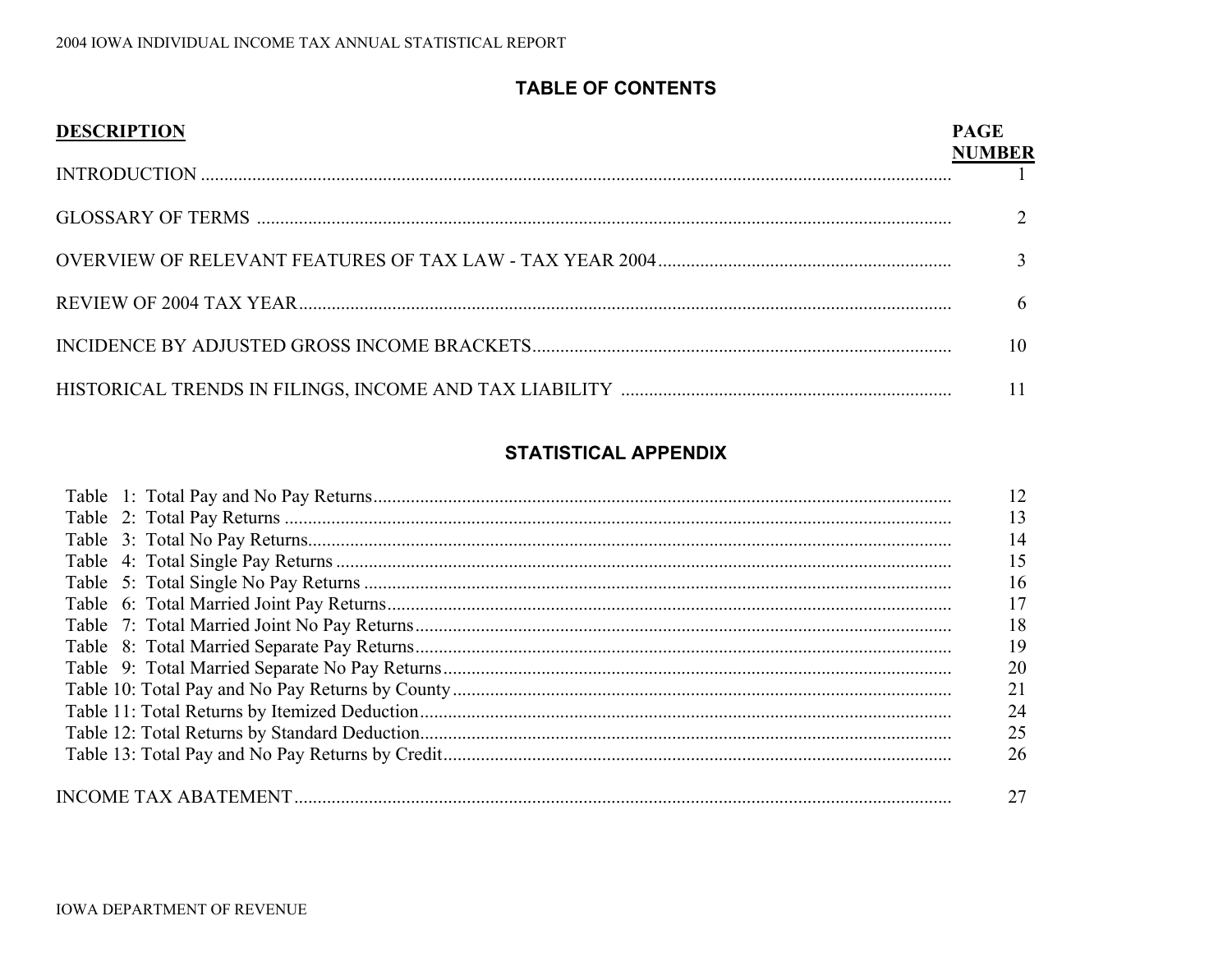## **TABLE OF CONTENTS**

| <b>DESCRIPTION</b> | <b>PAGE</b><br><b>NUMBER</b> |
|--------------------|------------------------------|
|                    |                              |
|                    |                              |
|                    |                              |
|                    | h                            |
|                    | 10                           |
|                    | 11                           |

## **STATISTICAL APPENDIX**

| 12 |
|----|
| 13 |
| 14 |
| 15 |
| 16 |
| 17 |
| 18 |
| 19 |
| 20 |
| 21 |
| 24 |
| 25 |
| 26 |
|    |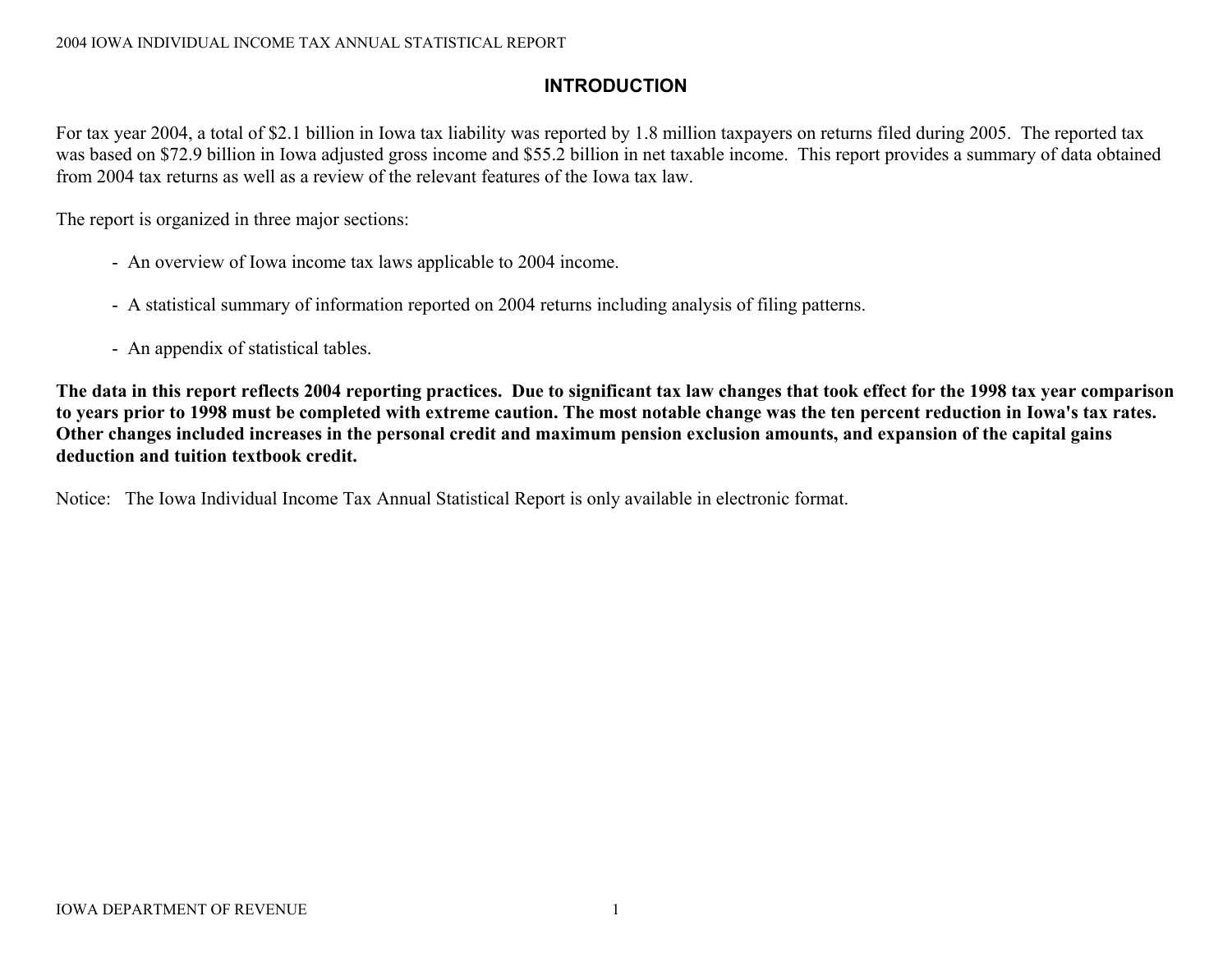## **INTRODUCTION**

For tax year 2004, a total of \$2.1 billion in Iowa tax liability was reported by 1.8 million taxpayers on returns filed during 2005. The reported tax was based on \$72.9 billion in Iowa adjusted gross income and \$55.2 billion in net taxable income. This report provides a summary of data obtained from 2004 tax returns as well as a review of the relevant features of the Iowa tax law.

The report is organized in three major sections:

- An overview of Iowa income tax laws applicable to 2004 income.
- A statistical summary of information reported on 2004 returns including analysis of filing patterns.
- An appendix of statistical tables.

**The data in this report reflects 2004 reporting practices. Due to significant tax law changes that took effect for the 1998 tax year comparison to years prior to 1998 must be completed with extreme caution. The most notable change was the ten percent reduction in Iowa's tax rates. Other changes included increases in the personal credit and maximum pension exclusion amounts, and expansion of the capital gains deduction and tuition textbook credit.** 

Notice: The Iowa Individual Income Tax Annual Statistical Report is only available in electronic format.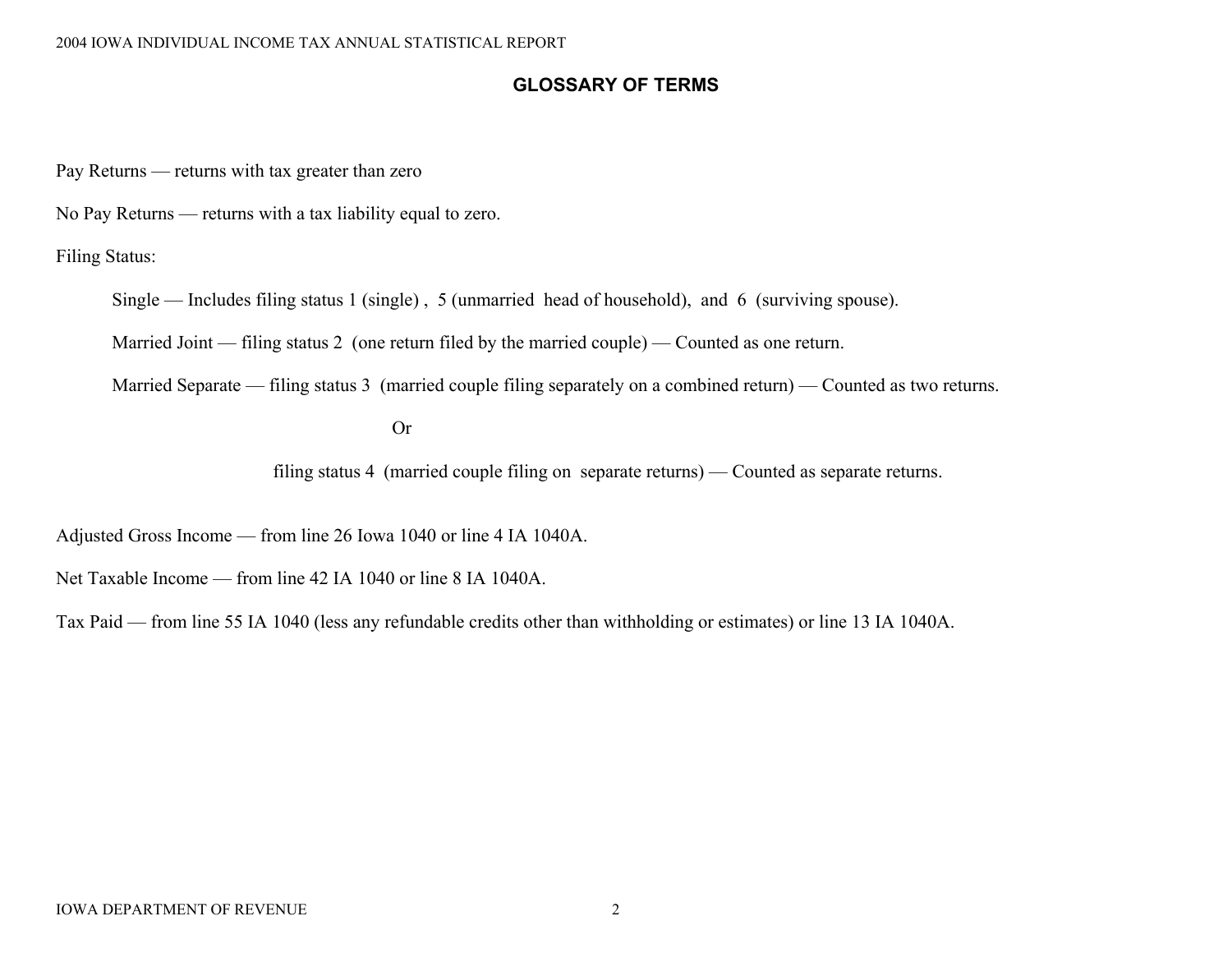## **GLOSSARY OF TERMS**

Pay Returns — returns with tax greater than zero

No Pay Returns — returns with a tax liability equal to zero.

Filing Status:

Single — Includes filing status 1 (single) , 5 (unmarried head of household), and 6 (surviving spouse).

Married Joint — filing status 2 (one return filed by the married couple) — Counted as one return.

Married Separate — filing status 3 (married couple filing separately on a combined return) — Counted as two returns.

 Or **Or** 

filing status 4 (married couple filing on separate returns) — Counted as separate returns.

Adjusted Gross Income — from line 26 Iowa 1040 or line 4 IA 1040A.

Net Taxable Income — from line 42 IA 1040 or line 8 IA 1040A.

Tax Paid — from line 55 IA 1040 (less any refundable credits other than withholding or estimates) or line 13 IA 1040A.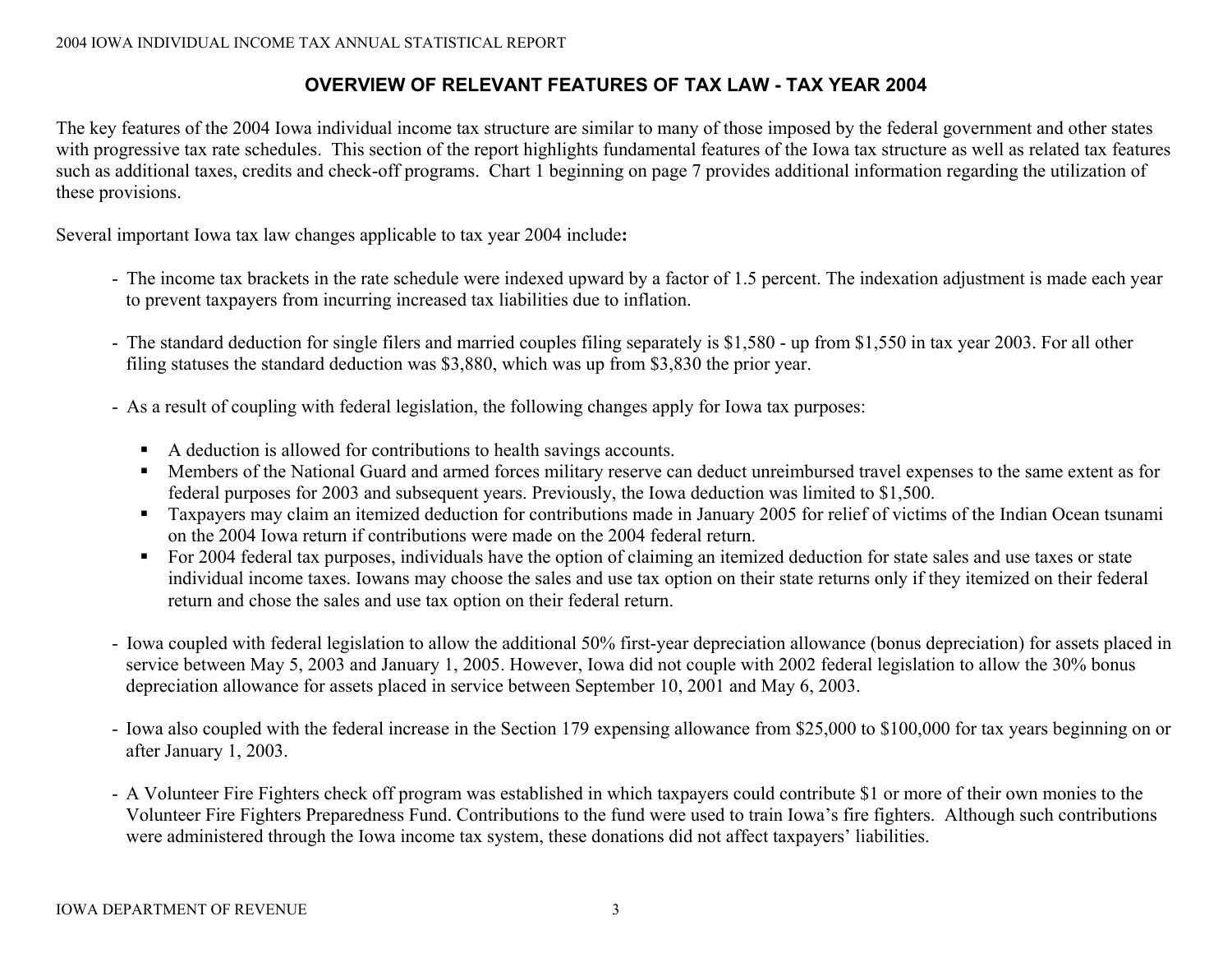## **OVERVIEW OF RELEVANT FEATURES OF TAX LAW - TAX YEAR 2004**

The key features of the 2004 Iowa individual income tax structure are similar to many of those imposed by the federal government and other states with progressive tax rate schedules. This section of the report highlights fundamental features of the Iowa tax structure as well as related tax features such as additional taxes, credits and check-off programs. Chart 1 beginning on page 7 provides additional information regarding the utilization of these provisions.

Several important Iowa tax law changes applicable to tax year 2004 include**:** 

- The income tax brackets in the rate schedule were indexed upward by a factor of 1.5 percent. The indexation adjustment is made each year to prevent taxpayers from incurring increased tax liabilities due to inflation.
- The standard deduction for single filers and married couples filing separately is \$1,580 up from \$1,550 in tax year 2003. For all other filing statuses the standard deduction was \$3,880, which was up from \$3,830 the prior year.
- As a result of coupling with federal legislation, the following changes apply for Iowa tax purposes:
	- $\blacksquare$ A deduction is allowed for contributions to health savings accounts.
	- Members of the National Guard and armed forces military reserve can deduct unreimbursed travel expenses to the same extent as for federal purposes for 2003 and subsequent years. Previously, the Iowa deduction was limited to \$1,500.
	- Taxpayers may claim an itemized deduction for contributions made in January 2005 for relief of victims of the Indian Ocean tsunami on the 2004 Iowa return if contributions were made on the 2004 federal return.
	- For 2004 federal tax purposes, individuals have the option of claiming an itemized deduction for state sales and use taxes or state individual income taxes. Iowans may choose the sales and use tax option on their state returns only if they itemized on their federal return and chose the sales and use tax option on their federal return.
- Iowa coupled with federal legislation to allow the additional 50% first-year depreciation allowance (bonus depreciation) for assets placed in service between May 5, 2003 and January 1, 2005. However, Iowa did not couple with 2002 federal legislation to allow the 30% bonus depreciation allowance for assets placed in service between September 10, 2001 and May 6, 2003.
- Iowa also coupled with the federal increase in the Section 179 expensing allowance from \$25,000 to \$100,000 for tax years beginning on or after January 1, 2003.
- A Volunteer Fire Fighters check off program was established in which taxpayers could contribute \$1 or more of their own monies to the Volunteer Fire Fighters Preparedness Fund. Contributions to the fund were used to train Iowa's fire fighters. Although such contributions were administered through the Iowa income tax system, these donations did not affect taxpayers' liabilities.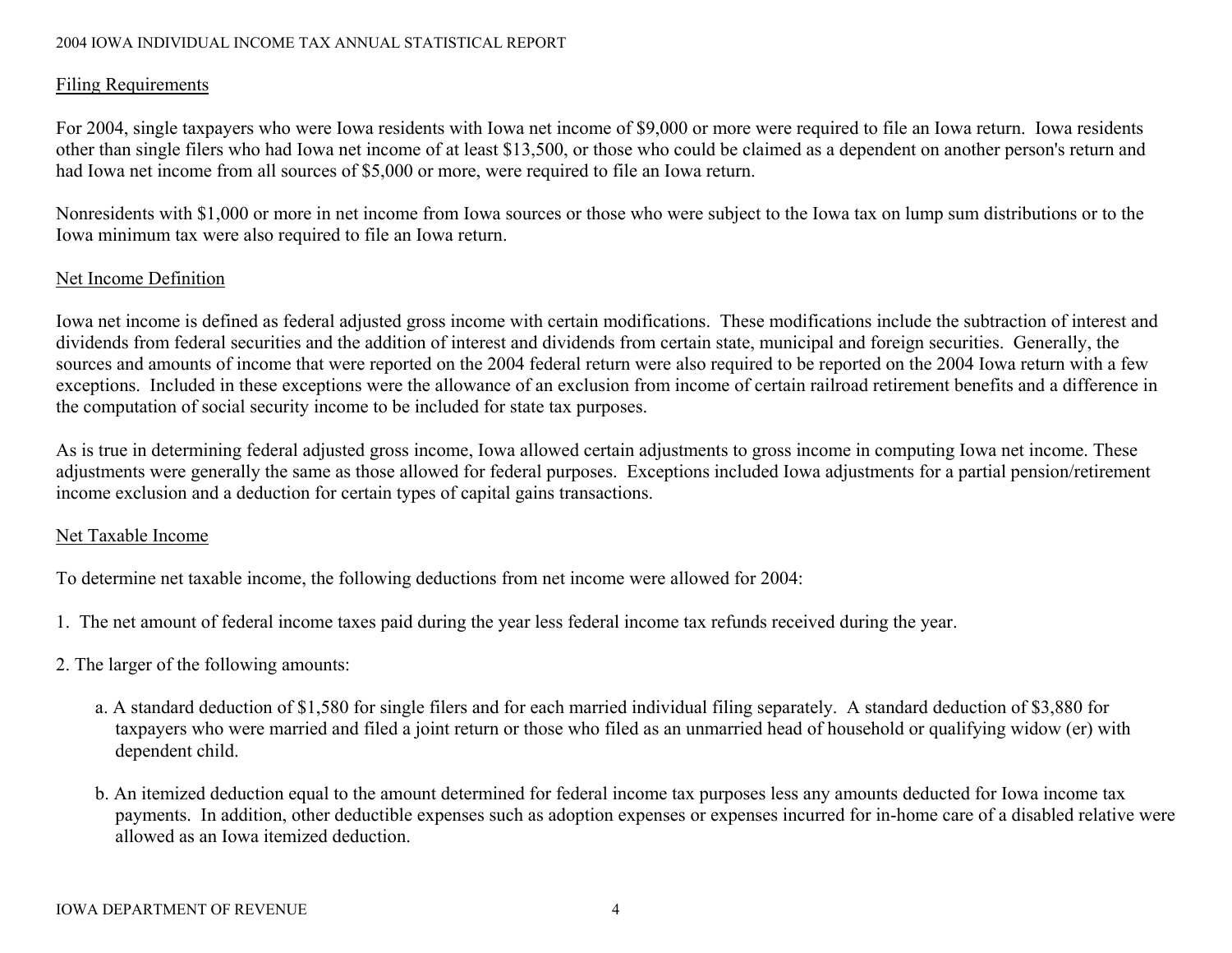#### 2004 IOWA INDIVIDUAL INCOME TAX ANNUAL STATISTICAL REPORT

## Filing Requirements

For 2004, single taxpayers who were Iowa residents with Iowa net income of \$9,000 or more were required to file an Iowa return. Iowa residents other than single filers who had Iowa net income of at least \$13,500, or those who could be claimed as a dependent on another person's return and had Iowa net income from all sources of \$5,000 or more, were required to file an Iowa return.

Nonresidents with \$1,000 or more in net income from Iowa sources or those who were subject to the Iowa tax on lump sum distributions or to the Iowa minimum tax were also required to file an Iowa return.

## Net Income Definition

Iowa net income is defined as federal adjusted gross income with certain modifications. These modifications include the subtraction of interest and dividends from federal securities and the addition of interest and dividends from certain state, municipal and foreign securities. Generally, the sources and amounts of income that were reported on the 2004 federal return were also required to be reported on the 2004 Iowa return with a few exceptions. Included in these exceptions were the allowance of an exclusion from income of certain railroad retirement benefits and a difference in the computation of social security income to be included for state tax purposes.

As is true in determining federal adjusted gross income, Iowa allowed certain adjustments to gross income in computing Iowa net income. These adjustments were generally the same as those allowed for federal purposes. Exceptions included Iowa adjustments for a partial pension/retirement income exclusion and a deduction for certain types of capital gains transactions.

## Net Taxable Income

To determine net taxable income, the following deductions from net income were allowed for 2004:

- 1. The net amount of federal income taxes paid during the year less federal income tax refunds received during the year.
- 2. The larger of the following amounts:
	- a. A standard deduction of \$1,580 for single filers and for each married individual filing separately. A standard deduction of \$3,880 for taxpayers who were married and filed a joint return or those who filed as an unmarried head of household or qualifying widow (er) with dependent child.
	- b. An itemized deduction equal to the amount determined for federal income tax purposes less any amounts deducted for Iowa income tax payments. In addition, other deductible expenses such as adoption expenses or expenses incurred for in-home care of a disabled relative were allowed as an Iowa itemized deduction.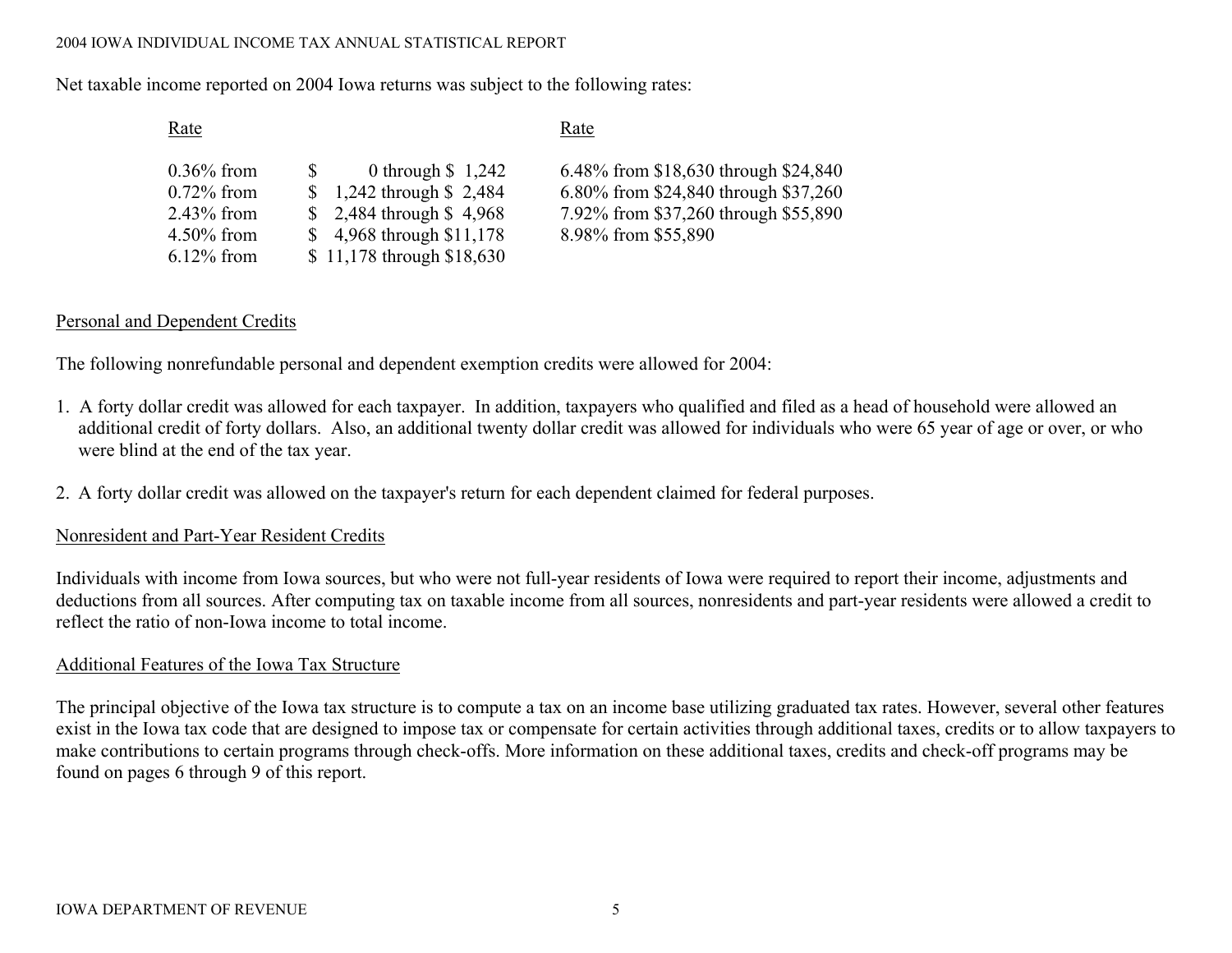#### 2004 IOWA INDIVIDUAL INCOME TAX ANNUAL STATISTICAL REPORT

Net taxable income reported on 2004 Iowa returns was subject to the following rates:

| Rate | Rate |
|------|------|
|      |      |

| $0.36\%$ from | <sup>S</sup> | 0 through $$1,242$                    | 6.48% from \$18,630 through \$24,840 |  |
|---------------|--------------|---------------------------------------|--------------------------------------|--|
| $0.72\%$ from |              | $\frac{1,242 \text{ through } 2,484}$ | 6.80% from \$24,840 through \$37,260 |  |
| $2.43\%$ from |              | $$2,484$ through $$4,968$             | 7.92% from \$37,260 through \$55,890 |  |
| $4.50\%$ from |              | $$4,968$ through $$11,178$            | 8.98% from \$55,890                  |  |
| $6.12\%$ from |              | \$11,178 through \$18,630             |                                      |  |

## Personal and Dependent Credits

The following nonrefundable personal and dependent exemption credits were allowed for 2004:

- 1. A forty dollar credit was allowed for each taxpayer. In addition, taxpayers who qualified and filed as a head of household were allowed an additional credit of forty dollars. Also, an additional twenty dollar credit was allowed for individuals who were 65 year of age or over, or who were blind at the end of the tax year.
- 2. A forty dollar credit was allowed on the taxpayer's return for each dependent claimed for federal purposes.

## Nonresident and Part-Year Resident Credits

Individuals with income from Iowa sources, but who were not full-year residents of Iowa were required to report their income, adjustments and deductions from all sources. After computing tax on taxable income from all sources, nonresidents and part-year residents were allowed a credit to reflect the ratio of non-Iowa income to total income.

## Additional Features of the Iowa Tax Structure

The principal objective of the Iowa tax structure is to compute a tax on an income base utilizing graduated tax rates. However, several other features exist in the Iowa tax code that are designed to impose tax or compensate for certain activities through additional taxes, credits or to allow taxpayers to make contributions to certain programs through check-offs. More information on these additional taxes, credits and check-off programs may be found on pages 6 through 9 of this report.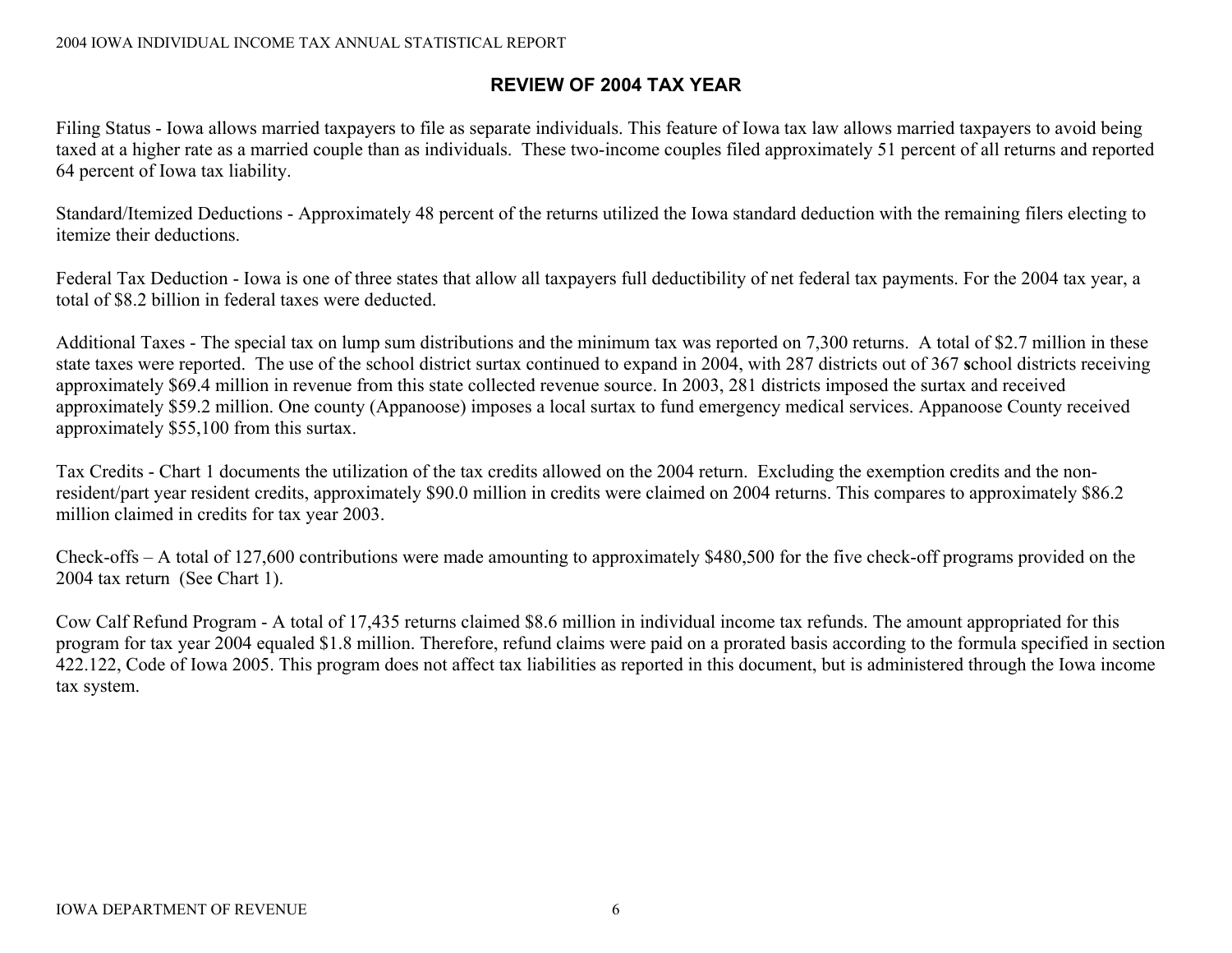## **REVIEW OF 2004 TAX YEAR**

Filing Status - Iowa allows married taxpayers to file as separate individuals. This feature of Iowa tax law allows married taxpayers to avoid being taxed at a higher rate as a married couple than as individuals. These two-income couples filed approximately 51 percent of all returns and reported 64 percent of Iowa tax liability.

Standard/Itemized Deductions - Approximately 48 percent of the returns utilized the Iowa standard deduction with the remaining filers electing to itemize their deductions.

Federal Tax Deduction - Iowa is one of three states that allow all taxpayers full deductibility of net federal tax payments. For the 2004 tax year, a total of \$8.2 billion in federal taxes were deducted.

Additional Taxes - The special tax on lump sum distributions and the minimum tax was reported on 7,300 returns. A total of \$2.7 million in these state taxes were reported. The use of the school district surtax continued to expand in 2004, with 287 districts out of 367 **s**chool districts receiving approximately \$69.4 million in revenue from this state collected revenue source. In 2003, 281 districts imposed the surtax and received approximately \$59.2 million. One county (Appanoose) imposes a local surtax to fund emergency medical services. Appanoose County received approximately \$55,100 from this surtax.

Tax Credits - Chart 1 documents the utilization of the tax credits allowed on the 2004 return. Excluding the exemption credits and the nonresident/part year resident credits, approximately \$90.0 million in credits were claimed on 2004 returns. This compares to approximately \$86.2 million claimed in credits for tax year 2003.

Check-offs – A total of 127,600 contributions were made amounting to approximately \$480,500 for the five check-off programs provided on the 2004 tax return (See Chart 1).

Cow Calf Refund Program - A total of 17,435 returns claimed \$8.6 million in individual income tax refunds. The amount appropriated for this program for tax year 2004 equaled \$1.8 million. Therefore, refund claims were paid on a prorated basis according to the formula specified in section 422.122, Code of Iowa 2005. This program does not affect tax liabilities as reported in this document, but is administered through the Iowa income tax system.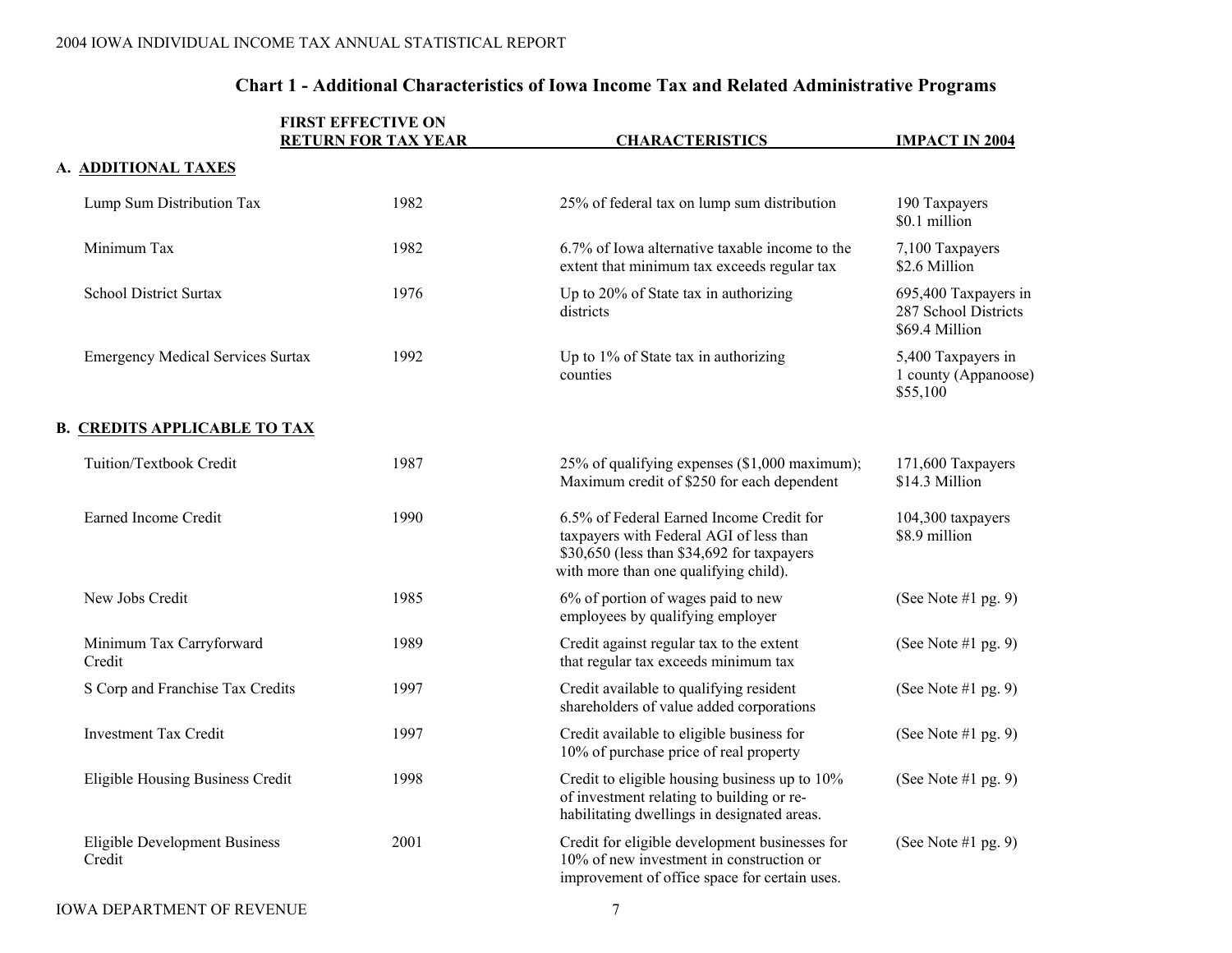| <b>FIRST EFFECTIVE ON</b><br><b>RETURN FOR TAX YEAR</b> |      | <b>CHARACTERISTICS</b>                                                                                                                                                     | <b>IMPACT IN 2004</b>                                          |  |
|---------------------------------------------------------|------|----------------------------------------------------------------------------------------------------------------------------------------------------------------------------|----------------------------------------------------------------|--|
| A. ADDITIONAL TAXES                                     |      |                                                                                                                                                                            |                                                                |  |
| Lump Sum Distribution Tax                               | 1982 | 25% of federal tax on lump sum distribution                                                                                                                                | 190 Taxpayers<br>\$0.1 million                                 |  |
| Minimum Tax                                             | 1982 | 6.7% of Iowa alternative taxable income to the<br>extent that minimum tax exceeds regular tax                                                                              | 7,100 Taxpayers<br>\$2.6 Million                               |  |
| <b>School District Surtax</b>                           | 1976 | Up to 20% of State tax in authorizing<br>districts                                                                                                                         | 695,400 Taxpayers in<br>287 School Districts<br>\$69.4 Million |  |
| <b>Emergency Medical Services Surtax</b>                | 1992 | Up to 1% of State tax in authorizing<br>counties                                                                                                                           | 5,400 Taxpayers in<br>1 county (Appanoose)<br>\$55,100         |  |
| <b>B. CREDITS APPLICABLE TO TAX</b>                     |      |                                                                                                                                                                            |                                                                |  |
| Tuition/Textbook Credit                                 | 1987 | 25% of qualifying expenses (\$1,000 maximum);<br>Maximum credit of \$250 for each dependent                                                                                | 171,600 Taxpayers<br>\$14.3 Million                            |  |
| Earned Income Credit                                    | 1990 | 6.5% of Federal Earned Income Credit for<br>taxpayers with Federal AGI of less than<br>\$30,650 (less than \$34,692 for taxpayers<br>with more than one qualifying child). | 104,300 taxpayers<br>\$8.9 million                             |  |
| New Jobs Credit                                         | 1985 | 6% of portion of wages paid to new<br>employees by qualifying employer                                                                                                     | (See Note #1 pg. 9)                                            |  |
| Minimum Tax Carryforward<br>Credit                      | 1989 | Credit against regular tax to the extent<br>that regular tax exceeds minimum tax                                                                                           | (See Note $#1$ pg. 9)                                          |  |
| S Corp and Franchise Tax Credits                        | 1997 | Credit available to qualifying resident<br>shareholders of value added corporations                                                                                        | (See Note #1 pg. 9)                                            |  |
| <b>Investment Tax Credit</b>                            | 1997 | Credit available to eligible business for<br>10% of purchase price of real property                                                                                        | (See Note #1 pg. 9)                                            |  |
| Eligible Housing Business Credit                        | 1998 | Credit to eligible housing business up to 10%<br>of investment relating to building or re-<br>habilitating dwellings in designated areas.                                  | (See Note #1 pg. 9)                                            |  |
| <b>Eligible Development Business</b><br>Credit          | 2001 | Credit for eligible development businesses for<br>10% of new investment in construction or<br>improvement of office space for certain uses.                                | (See Note #1 pg. 9)                                            |  |

## **Chart 1 - Additional Characteristics of Iowa Income Tax and Related Administrative Programs**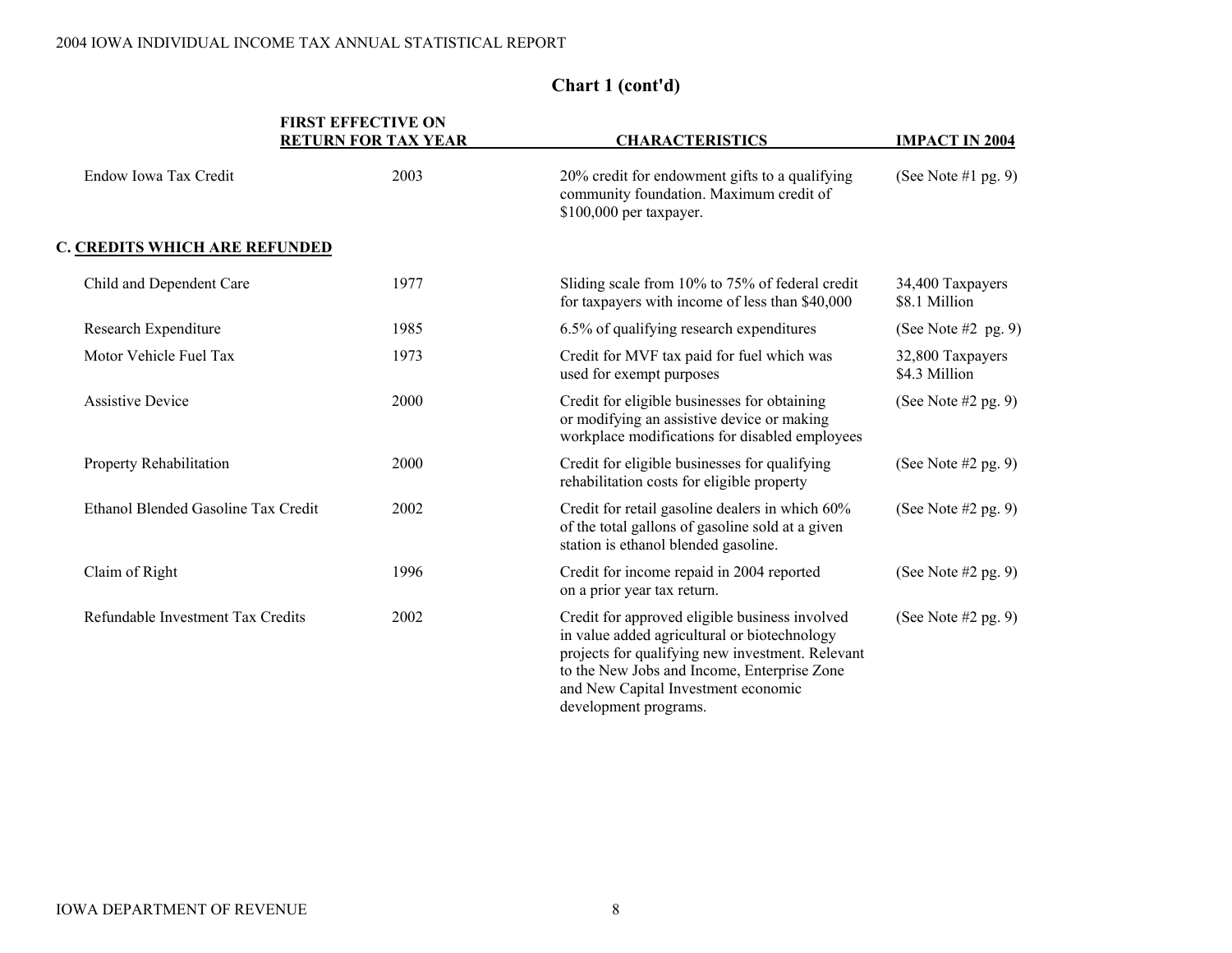|                                      | <b>FIRST EFFECTIVE ON</b><br><b>RETURN FOR TAX YEAR</b> | <b>CHARACTERISTICS</b>                                                                                                                                                                                                                                            | <b>IMPACT IN 2004</b>             |
|--------------------------------------|---------------------------------------------------------|-------------------------------------------------------------------------------------------------------------------------------------------------------------------------------------------------------------------------------------------------------------------|-----------------------------------|
| Endow Iowa Tax Credit                | 2003                                                    | 20% credit for endowment gifts to a qualifying<br>community foundation. Maximum credit of<br>\$100,000 per taxpayer.                                                                                                                                              | (See Note #1 pg. 9)               |
| <b>C. CREDITS WHICH ARE REFUNDED</b> |                                                         |                                                                                                                                                                                                                                                                   |                                   |
| Child and Dependent Care             | 1977                                                    | Sliding scale from 10% to 75% of federal credit<br>for taxpayers with income of less than \$40,000                                                                                                                                                                | 34,400 Taxpayers<br>\$8.1 Million |
| Research Expenditure                 | 1985                                                    | 6.5% of qualifying research expenditures                                                                                                                                                                                                                          | (See Note $#2$ pg. 9)             |
| Motor Vehicle Fuel Tax               | 1973                                                    | Credit for MVF tax paid for fuel which was<br>used for exempt purposes                                                                                                                                                                                            | 32,800 Taxpayers<br>\$4.3 Million |
| <b>Assistive Device</b>              | 2000                                                    | Credit for eligible businesses for obtaining<br>or modifying an assistive device or making<br>workplace modifications for disabled employees                                                                                                                      | (See Note $#2$ pg. 9)             |
| Property Rehabilitation              | 2000                                                    | Credit for eligible businesses for qualifying<br>rehabilitation costs for eligible property                                                                                                                                                                       | (See Note $#2$ pg. 9)             |
| Ethanol Blended Gasoline Tax Credit  | 2002                                                    | Credit for retail gasoline dealers in which 60%<br>of the total gallons of gasoline sold at a given<br>station is ethanol blended gasoline.                                                                                                                       | (See Note $#2$ pg. 9)             |
| Claim of Right                       | 1996                                                    | Credit for income repaid in 2004 reported<br>on a prior year tax return.                                                                                                                                                                                          | (See Note $#2$ pg. 9)             |
| Refundable Investment Tax Credits    | 2002                                                    | Credit for approved eligible business involved<br>in value added agricultural or biotechnology<br>projects for qualifying new investment. Relevant<br>to the New Jobs and Income, Enterprise Zone<br>and New Capital Investment economic<br>development programs. | (See Note $#2$ pg. 9)             |

## **Chart 1 (cont'd)**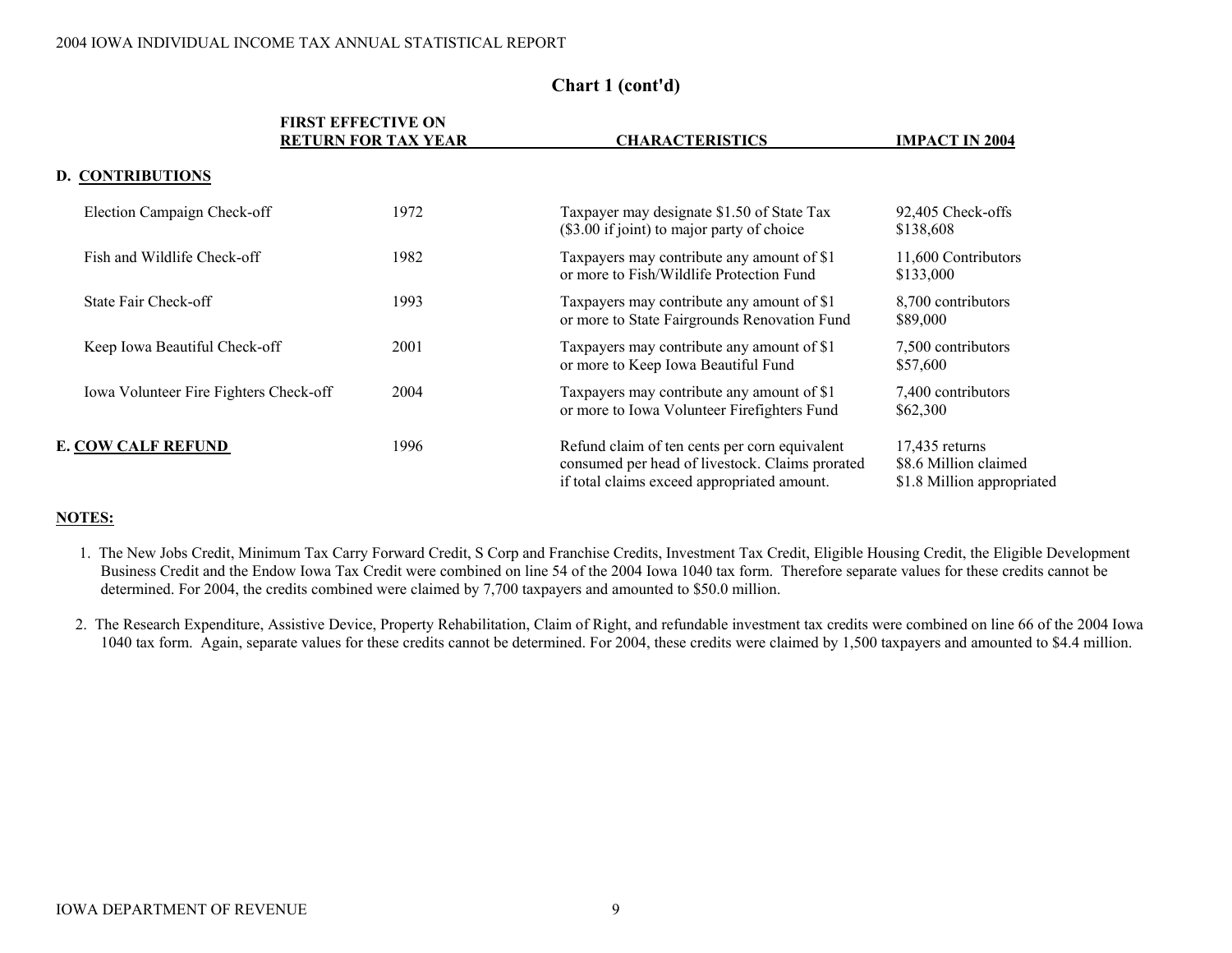|                                        | <b>FIRST EFFECTIVE ON</b><br><b>RETURN FOR TAX YEAR</b> | <b>CHARACTERISTICS</b>                                                                                                                          | <b>IMPACT IN 2004</b>                                                   |
|----------------------------------------|---------------------------------------------------------|-------------------------------------------------------------------------------------------------------------------------------------------------|-------------------------------------------------------------------------|
| <b>D. CONTRIBUTIONS</b>                |                                                         |                                                                                                                                                 |                                                                         |
| Election Campaign Check-off            | 1972                                                    | Taxpayer may designate \$1.50 of State Tax<br>(\$3.00 if joint) to major party of choice                                                        | 92,405 Check-offs<br>\$138,608                                          |
| Fish and Wildlife Check-off            | 1982                                                    | Taxpayers may contribute any amount of \$1<br>or more to Fish/Wildlife Protection Fund                                                          | 11,600 Contributors<br>\$133,000                                        |
| State Fair Check-off                   | 1993                                                    | Taxpayers may contribute any amount of \$1<br>or more to State Fairgrounds Renovation Fund                                                      | 8,700 contributors<br>\$89,000                                          |
| Keep Iowa Beautiful Check-off          | 2001                                                    | Taxpayers may contribute any amount of \$1<br>or more to Keep Iowa Beautiful Fund                                                               | 7,500 contributors<br>\$57,600                                          |
| Iowa Volunteer Fire Fighters Check-off | 2004                                                    | Taxpayers may contribute any amount of \$1<br>or more to Iowa Volunteer Firefighters Fund                                                       | 7,400 contributors<br>\$62,300                                          |
| <b>E. COW CALF REFUND</b>              | 1996                                                    | Refund claim of ten cents per corn equivalent<br>consumed per head of livestock. Claims prorated<br>if total claims exceed appropriated amount. | $17,435$ returns<br>\$8.6 Million claimed<br>\$1.8 Million appropriated |

## **Chart 1 (cont'd)**

#### **NOTES:**

- 1. The New Jobs Credit, Minimum Tax Carry Forward Credit, S Corp and Franchise Credits, Investment Tax Credit, Eligible Housing Credit, the Eligible Development Business Credit and the Endow Iowa Tax Credit were combined on line 54 of the 2004 Iowa 1040 tax form. Therefore separate values for these credits cannot be determined. For 2004, the credits combined were claimed by 7,700 taxpayers and amounted to \$50.0 million.
- 2. The Research Expenditure, Assistive Device, Property Rehabilitation, Claim of Right, and refundable investment tax credits were combined on line 66 of the 2004 Iowa 1040 tax form. Again, separate values for these credits cannot be determined. For 2004, these credits were claimed by 1,500 taxpayers and amounted to \$4.4 million.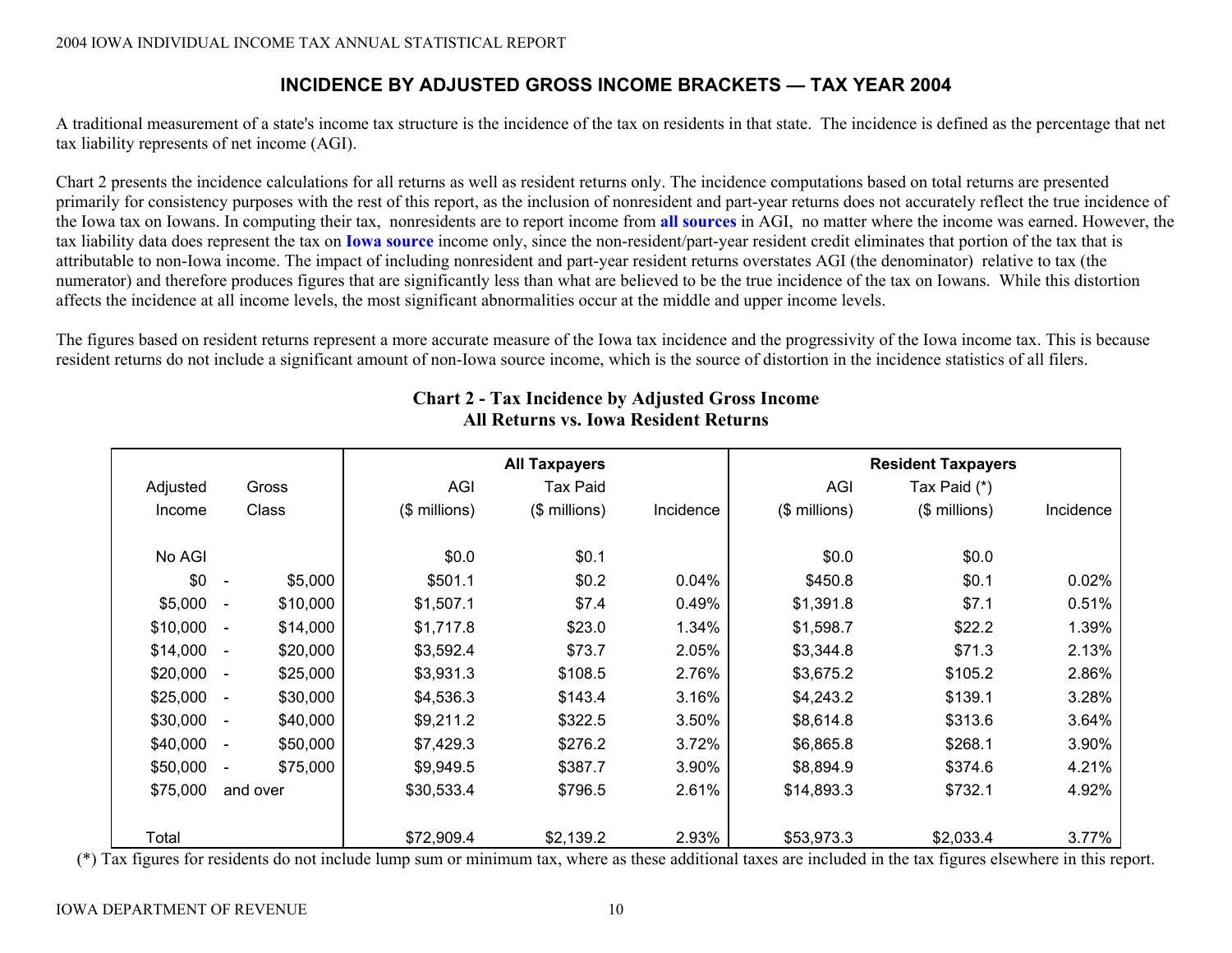## **INCIDENCE BY ADJUSTED GROSS INCOME BRACKETS — TAX YEAR 2004**

A traditional measurement of a state's income tax structure is the incidence of the tax on residents in that state. The incidence is defined as the percentage that net tax liability represents of net income (AGI).

Chart 2 presents the incidence calculations for all returns as well as resident returns only. The incidence computations based on total returns are presented primarily for consistency purposes with the rest of this report, as the inclusion of nonresident and part-year returns does not accurately reflect the true incidence of the Iowa tax on Iowans. In computing their tax, nonresidents are to report income from **all sources** in AGI, no matter where the income was earned. However, the tax liability data does represent the tax on **Iowa source** income only, since the non-resident/part-year resident credit eliminates that portion of the tax that is attributable to non-Iowa income. The impact of including nonresident and part-year resident returns overstates AGI (the denominator) relative to tax (the numerator) and therefore produces figures that are significantly less than what are believed to be the true incidence of the tax on Iowans. While this distortion affects the incidence at all income levels, the most significant abnormalities occur at the middle and upper income levels.

The figures based on resident returns represent a more accurate measure of the Iowa tax incidence and the progressivity of the Iowa income tax. This is because resident returns do not include a significant amount of non-Iowa source income, which is the source of distortion in the incidence statistics of all filers.

|          |                                      | <b>All Taxpayers</b> |                 |           | <b>Resident Taxpayers</b> |               |           |  |
|----------|--------------------------------------|----------------------|-----------------|-----------|---------------------------|---------------|-----------|--|
| Adjusted | Gross                                | AGI                  | <b>Tax Paid</b> |           | AGI                       | Tax Paid (*)  |           |  |
| Income   | Class                                | (\$ millions)        | (\$ millions)   | Incidence | (\$ millions)             | (\$ millions) | Incidence |  |
| No AGI   |                                      | \$0.0                | \$0.1           |           | \$0.0                     | \$0.0         |           |  |
|          |                                      |                      |                 |           |                           |               |           |  |
| \$0      | \$5,000<br>$\sim$                    | \$501.1              | \$0.2           | 0.04%     | \$450.8                   | \$0.1         | 0.02%     |  |
| \$5,000  | \$10,000<br>$\overline{\phantom{a}}$ | \$1,507.1            | \$7.4           | 0.49%     | \$1,391.8                 | \$7.1         | 0.51%     |  |
| \$10,000 | \$14,000<br>$\overline{\phantom{a}}$ | \$1,717.8            | \$23.0          | 1.34%     | \$1,598.7                 | \$22.2        | 1.39%     |  |
| \$14,000 | \$20,000<br>$\sim$                   | \$3,592.4            | \$73.7          | 2.05%     | \$3,344.8                 | \$71.3        | 2.13%     |  |
| \$20,000 | \$25,000<br>$\overline{\phantom{a}}$ | \$3,931.3            | \$108.5         | 2.76%     | \$3,675.2                 | \$105.2       | 2.86%     |  |
| \$25,000 | \$30,000<br>$\sim$                   | \$4,536.3            | \$143.4         | 3.16%     | \$4,243.2                 | \$139.1       | 3.28%     |  |
| \$30,000 | \$40,000<br>$\sim$                   | \$9,211.2            | \$322.5         | 3.50%     | \$8,614.8                 | \$313.6       | 3.64%     |  |
| \$40,000 | \$50,000<br>$\sim$                   | \$7,429.3            | \$276.2         | 3.72%     | \$6,865.8                 | \$268.1       | 3.90%     |  |
| \$50,000 | \$75,000<br>$\overline{\phantom{a}}$ | \$9,949.5            | \$387.7         | 3.90%     | \$8,894.9                 | \$374.6       | 4.21%     |  |
| \$75,000 | and over                             | \$30,533.4           | \$796.5         | 2.61%     | \$14,893.3                | \$732.1       | 4.92%     |  |
| Total    |                                      | \$72,909.4           | \$2,139.2       | 2.93%     | \$53,973.3                | \$2,033.4     | 3.77%     |  |

## **Chart 2 - Tax Incidence by Adjusted Gross Income All Returns vs. Iowa Resident Returns**

(\*) Tax figures for residents do not include lump sum or minimum tax, where as these additional taxes are included in the tax figures elsewhere in this report.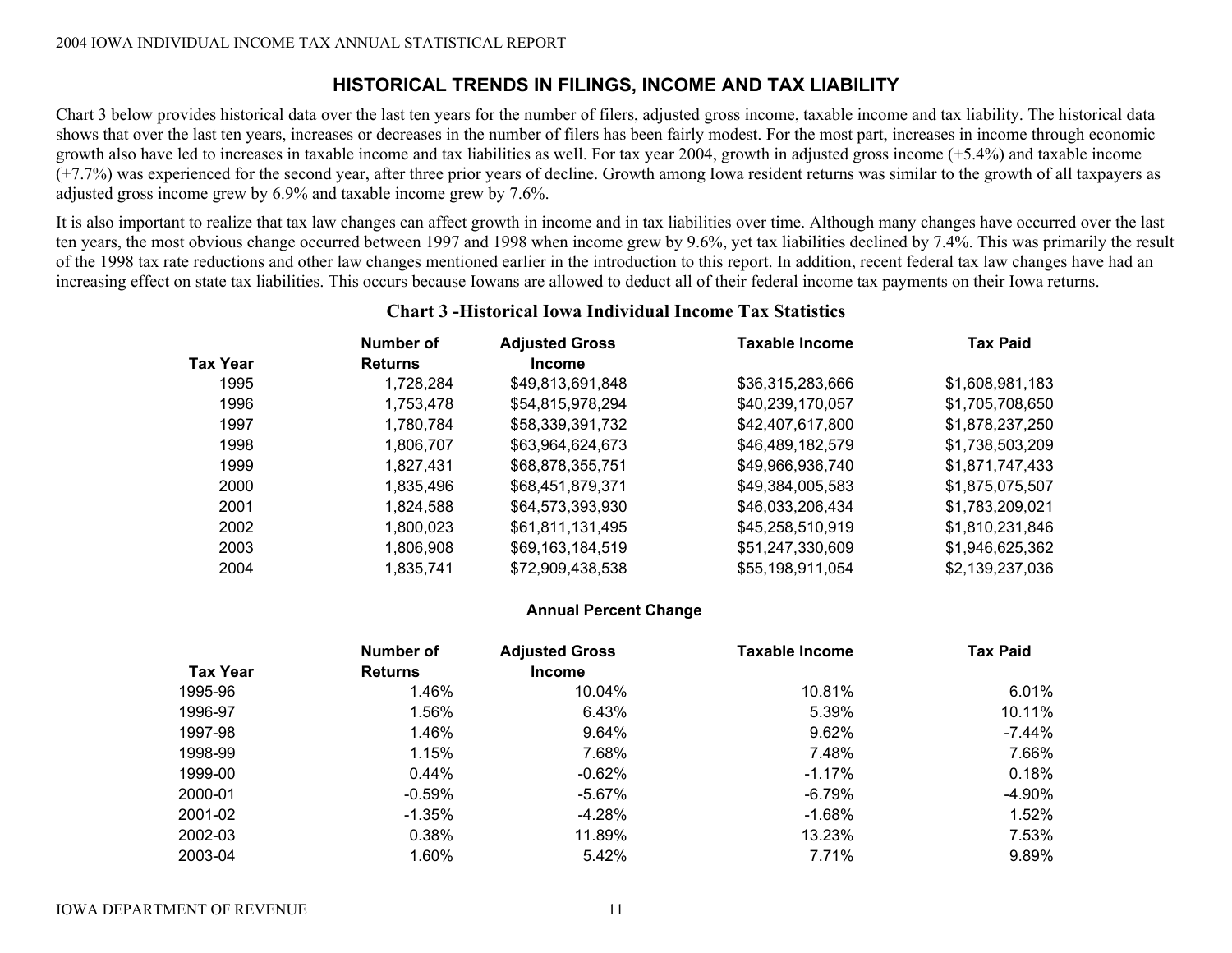## **HISTORICAL TRENDS IN FILINGS, INCOME AND TAX LIABILITY**

Chart 3 below provides historical data over the last ten years for the number of filers, adjusted gross income, taxable income and tax liability. The historical data shows that over the last ten years, increases or decreases in the number of filers has been fairly modest. For the most part, increases in income through economic growth also have led to increases in taxable income and tax liabilities as well. For tax year 2004, growth in adjusted gross income (+5.4%) and taxable income (+7.7%) was experienced for the second year, after three prior years of decline. Growth among Iowa resident returns was similar to the growth of all taxpayers as adjusted gross income grew by 6.9% and taxable income grew by 7.6%.

It is also important to realize that tax law changes can affect growth in income and in tax liabilities over time. Although many changes have occurred over the last ten years, the most obvious change occurred between 1997 and 1998 when income grew by 9.6%, yet tax liabilities declined by 7.4%. This was primarily the result of the 1998 tax rate reductions and other law changes mentioned earlier in the introduction to this report. In addition, recent federal tax law changes have had an increasing effect on state tax liabilities. This occurs because Iowans are allowed to deduct all of their federal income tax payments on their Iowa returns.

|                 | Number of      | <b>Adjusted Gross</b> | <b>Taxable Income</b> | <b>Tax Paid</b> |
|-----------------|----------------|-----------------------|-----------------------|-----------------|
| <b>Tax Year</b> | <b>Returns</b> | <b>Income</b>         |                       |                 |
| 1995            | 1,728,284      | \$49,813,691,848      | \$36,315,283,666      | \$1,608,981,183 |
| 1996            | 1,753,478      | \$54,815,978,294      | \$40,239,170,057      | \$1,705,708,650 |
| 1997            | 1,780,784      | \$58,339,391,732      | \$42,407,617,800      | \$1,878,237,250 |
| 1998            | 1,806,707      | \$63,964,624,673      | \$46,489,182,579      | \$1,738,503,209 |
| 1999            | 1,827,431      | \$68,878,355,751      | \$49,966,936,740      | \$1,871,747,433 |
| 2000            | 1,835,496      | \$68,451,879,371      | \$49,384,005,583      | \$1,875,075,507 |
| 2001            | 1,824,588      | \$64,573,393,930      | \$46,033,206,434      | \$1,783,209,021 |
| 2002            | 1,800,023      | \$61,811,131,495      | \$45,258,510,919      | \$1,810,231,846 |
| 2003            | 1,806,908      | \$69,163,184,519      | \$51,247,330,609      | \$1,946,625,362 |
| 2004            | 1,835,741      | \$72,909,438,538      | \$55,198,911,054      | \$2,139,237,036 |

## **Chart 3 -Historical Iowa Individual Income Tax Statistics**

#### **Annual Percent Change**

|                 | Number of      | <b>Adjusted Gross</b> | <b>Taxable Income</b> | <b>Tax Paid</b> |
|-----------------|----------------|-----------------------|-----------------------|-----------------|
| <b>Tax Year</b> | <b>Returns</b> | <b>Income</b>         |                       |                 |
| 1995-96         | 1.46%          | 10.04%                | 10.81%                | 6.01%           |
| 1996-97         | 1.56%          | 6.43%                 | 5.39%                 | 10.11%          |
| 1997-98         | 1.46%          | 9.64%                 | 9.62%                 | $-7.44%$        |
| 1998-99         | 1.15%          | 7.68%                 | 7.48%                 | 7.66%           |
| 1999-00         | 0.44%          | $-0.62%$              | -1.17%                | 0.18%           |
| 2000-01         | $-0.59\%$      | -5.67%                | -6.79%                | $-4.90%$        |
| 2001-02         | $-1.35\%$      | -4.28%                | $-1.68\%$             | 1.52%           |
| 2002-03         | 0.38%          | 11.89%                | 13.23%                | 7.53%           |
| 2003-04         | 1.60%          | 5.42%                 | 7.71%                 | 9.89%           |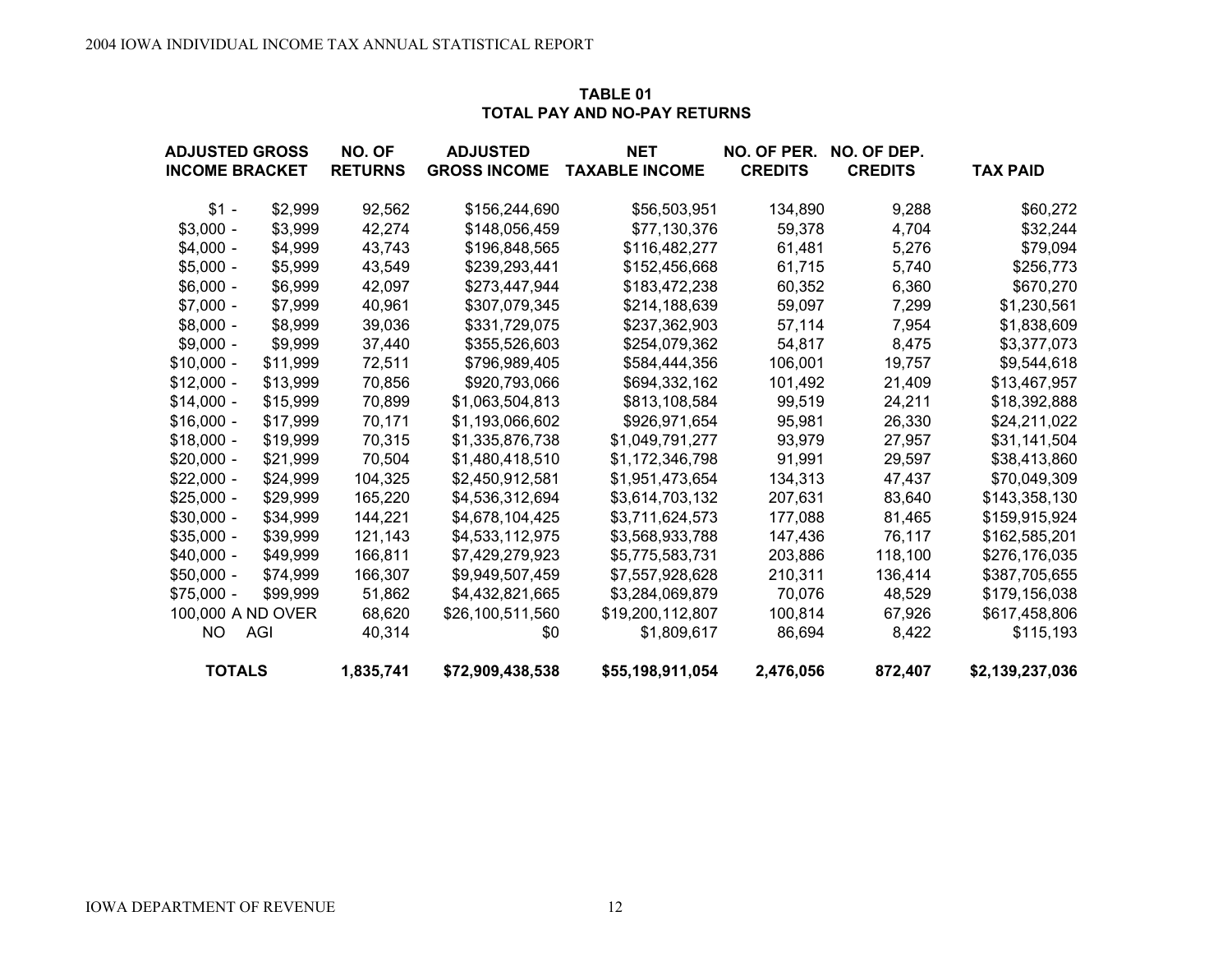#### **TABLE 01 TOTAL PAY AND NO-PAY RETURNS**

| <b>ADJUSTED GROSS</b> |          | NO. OF         | <b>ADJUSTED</b>     | <b>NET</b>            | NO. OF PER.    | NO. OF DEP.    |                 |
|-----------------------|----------|----------------|---------------------|-----------------------|----------------|----------------|-----------------|
| <b>INCOME BRACKET</b> |          | <b>RETURNS</b> | <b>GROSS INCOME</b> | <b>TAXABLE INCOME</b> | <b>CREDITS</b> | <b>CREDITS</b> | <b>TAX PAID</b> |
| $$1 -$                | \$2,999  | 92,562         | \$156,244,690       | \$56,503,951          | 134,890        | 9,288          | \$60,272        |
| $$3,000 -$            | \$3,999  | 42,274         | \$148,056,459       | \$77,130,376          | 59,378         | 4,704          | \$32,244        |
| $$4,000 -$            | \$4,999  | 43,743         | \$196,848,565       | \$116,482,277         | 61,481         | 5,276          | \$79,094        |
| $$5,000 -$            | \$5,999  | 43,549         | \$239,293,441       | \$152,456,668         | 61,715         | 5,740          | \$256,773       |
| $$6,000 -$            | \$6,999  | 42,097         | \$273,447,944       | \$183,472,238         | 60,352         | 6,360          | \$670,270       |
| $$7,000 -$            | \$7,999  | 40,961         | \$307,079,345       | \$214,188,639         | 59,097         | 7,299          | \$1,230,561     |
| $$8,000 -$            | \$8,999  | 39,036         | \$331,729,075       | \$237,362,903         | 57,114         | 7,954          | \$1,838,609     |
| $$9,000 -$            | \$9,999  | 37,440         | \$355,526,603       | \$254,079,362         | 54,817         | 8,475          | \$3,377,073     |
| $$10,000 -$           | \$11,999 | 72,511         | \$796,989,405       | \$584,444,356         | 106,001        | 19,757         | \$9,544,618     |
| $$12,000 -$           | \$13,999 | 70,856         | \$920,793,066       | \$694,332,162         | 101,492        | 21,409         | \$13,467,957    |
| $$14,000 -$           | \$15,999 | 70,899         | \$1,063,504,813     | \$813,108,584         | 99,519         | 24,211         | \$18,392,888    |
| $$16,000 -$           | \$17,999 | 70,171         | \$1,193,066,602     | \$926,971,654         | 95,981         | 26,330         | \$24,211,022    |
| $$18,000 -$           | \$19,999 | 70,315         | \$1,335,876,738     | \$1,049,791,277       | 93,979         | 27,957         | \$31,141,504    |
| $$20,000 -$           | \$21,999 | 70,504         | \$1,480,418,510     | \$1,172,346,798       | 91,991         | 29,597         | \$38,413,860    |
| $$22,000 -$           | \$24,999 | 104,325        | \$2,450,912,581     | \$1,951,473,654       | 134,313        | 47,437         | \$70,049,309    |
| $$25,000 -$           | \$29,999 | 165,220        | \$4,536,312,694     | \$3,614,703,132       | 207,631        | 83,640         | \$143,358,130   |
| $$30,000 -$           | \$34,999 | 144,221        | \$4,678,104,425     | \$3,711,624,573       | 177,088        | 81,465         | \$159,915,924   |
| $$35,000 -$           | \$39,999 | 121,143        | \$4,533,112,975     | \$3,568,933,788       | 147,436        | 76,117         | \$162,585,201   |
| $$40,000 -$           | \$49,999 | 166,811        | \$7,429,279,923     | \$5,775,583,731       | 203,886        | 118,100        | \$276,176,035   |
| $$50,000 -$           | \$74,999 | 166,307        | \$9,949,507,459     | \$7,557,928,628       | 210,311        | 136,414        | \$387,705,655   |
| $$75,000 -$           | \$99,999 | 51,862         | \$4,432,821,665     | \$3,284,069,879       | 70,076         | 48,529         | \$179,156,038   |
| 100,000 A ND OVER     |          | 68,620         | \$26,100,511,560    | \$19,200,112,807      | 100,814        | 67,926         | \$617,458,806   |
| NO.                   | AGI      | 40,314         | \$0                 | \$1,809,617           | 86,694         | 8,422          | \$115,193       |
| <b>TOTALS</b>         |          | 1,835,741      | \$72,909,438,538    | \$55,198,911,054      | 2,476,056      | 872,407        | \$2,139,237,036 |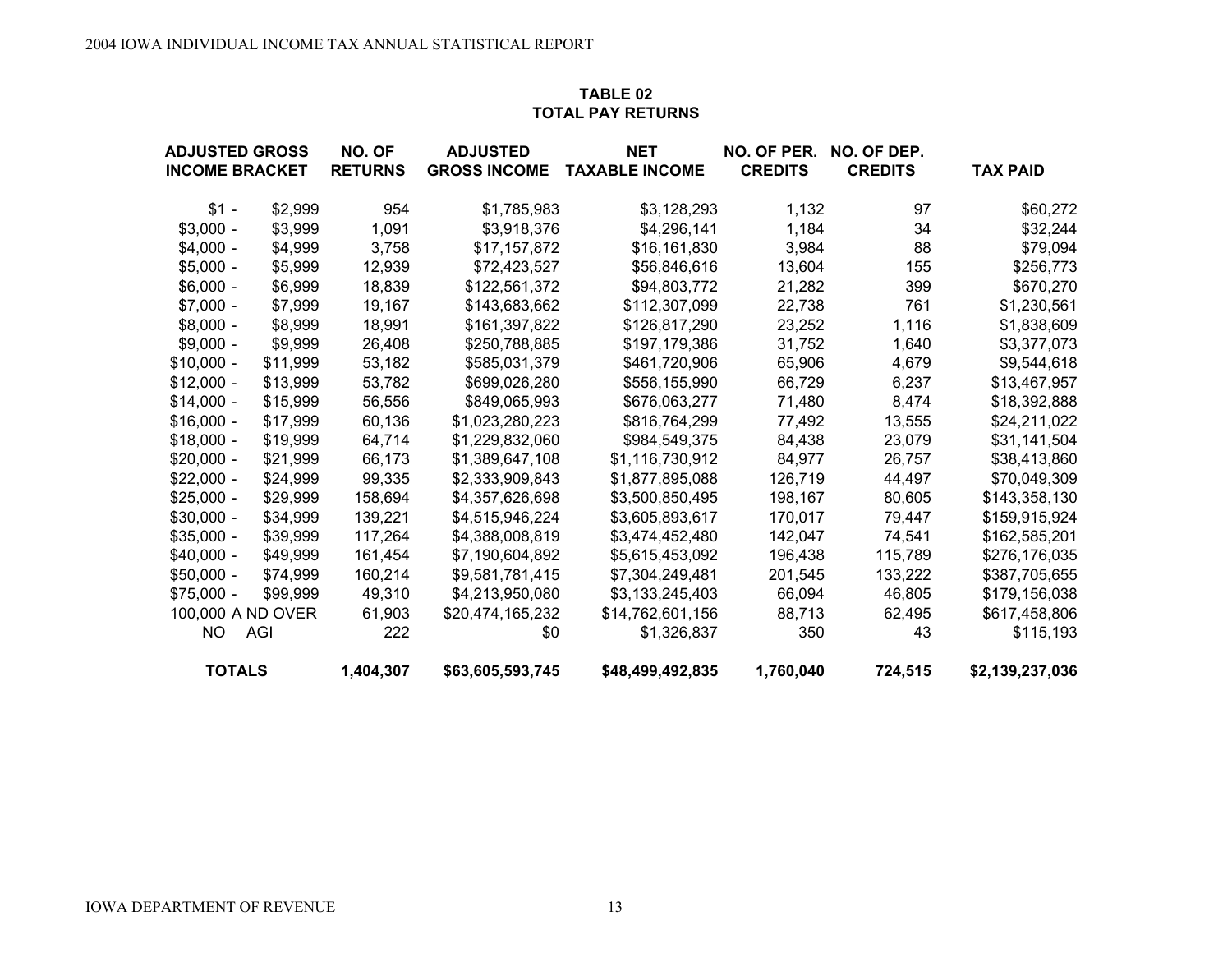## **TABLE 02TOTAL PAY RETURNS**

| <b>ADJUSTED GROSS</b> |          | NO. OF         | <b>ADJUSTED</b>     | <b>NET</b>            | NO. OF PER.    | NO. OF DEP.    |                 |
|-----------------------|----------|----------------|---------------------|-----------------------|----------------|----------------|-----------------|
| <b>INCOME BRACKET</b> |          | <b>RETURNS</b> | <b>GROSS INCOME</b> | <b>TAXABLE INCOME</b> | <b>CREDITS</b> | <b>CREDITS</b> | <b>TAX PAID</b> |
| $$1 -$                | \$2,999  | 954            | \$1,785,983         | \$3,128,293           | 1,132          | 97             | \$60,272        |
| $$3,000 -$            | \$3,999  | 1,091          | \$3,918,376         | \$4,296,141           | 1,184          | 34             | \$32,244        |
| $$4,000 -$            | \$4,999  | 3,758          | \$17,157,872        | \$16,161,830          | 3,984          | 88             | \$79,094        |
| $$5,000 -$            | \$5,999  | 12,939         | \$72,423,527        | \$56,846,616          | 13,604         | 155            | \$256,773       |
| $$6,000 -$            | \$6,999  | 18,839         | \$122,561,372       | \$94,803,772          | 21,282         | 399            | \$670,270       |
| $$7,000 -$            | \$7,999  | 19,167         | \$143,683,662       | \$112,307,099         | 22,738         | 761            | \$1,230,561     |
| $$8,000 -$            | \$8,999  | 18,991         | \$161,397,822       | \$126,817,290         | 23,252         | 1,116          | \$1,838,609     |
| $$9,000 -$            | \$9,999  | 26,408         | \$250,788,885       | \$197,179,386         | 31,752         | 1,640          | \$3,377,073     |
| $$10,000 -$           | \$11,999 | 53,182         | \$585,031,379       | \$461,720,906         | 65,906         | 4,679          | \$9,544,618     |
| $$12,000 -$           | \$13,999 | 53,782         | \$699,026,280       | \$556,155,990         | 66,729         | 6,237          | \$13,467,957    |
| $$14,000 -$           | \$15,999 | 56,556         | \$849,065,993       | \$676,063,277         | 71,480         | 8,474          | \$18,392,888    |
| $$16,000 -$           | \$17,999 | 60,136         | \$1,023,280,223     | \$816,764,299         | 77,492         | 13,555         | \$24,211,022    |
| $$18,000 -$           | \$19,999 | 64,714         | \$1,229,832,060     | \$984,549,375         | 84,438         | 23,079         | \$31,141,504    |
| $$20,000 -$           | \$21,999 | 66,173         | \$1,389,647,108     | \$1,116,730,912       | 84,977         | 26,757         | \$38,413,860    |
| $$22,000 -$           | \$24,999 | 99,335         | \$2,333,909,843     | \$1,877,895,088       | 126,719        | 44,497         | \$70,049,309    |
| $$25,000 -$           | \$29,999 | 158,694        | \$4,357,626,698     | \$3,500,850,495       | 198,167        | 80,605         | \$143,358,130   |
| $$30,000 -$           | \$34,999 | 139,221        | \$4,515,946,224     | \$3,605,893,617       | 170,017        | 79,447         | \$159,915,924   |
| $$35,000 -$           | \$39,999 | 117,264        | \$4,388,008,819     | \$3,474,452,480       | 142,047        | 74,541         | \$162,585,201   |
| $$40,000 -$           | \$49,999 | 161,454        | \$7,190,604,892     | \$5,615,453,092       | 196,438        | 115,789        | \$276,176,035   |
| $$50,000 -$           | \$74,999 | 160,214        | \$9,581,781,415     | \$7,304,249,481       | 201,545        | 133,222        | \$387,705,655   |
| $$75,000 -$           | \$99,999 | 49,310         | \$4,213,950,080     | \$3,133,245,403       | 66,094         | 46,805         | \$179,156,038   |
| 100,000 A ND OVER     |          | 61,903         | \$20,474,165,232    | \$14,762,601,156      | 88,713         | 62,495         | \$617,458,806   |
| NO                    | AGI      | 222            | \$0                 | \$1,326,837           | 350            | 43             | \$115,193       |
| <b>TOTALS</b>         |          | 1,404,307      | \$63,605,593,745    | \$48,499,492,835      | 1,760,040      | 724,515        | \$2,139,237,036 |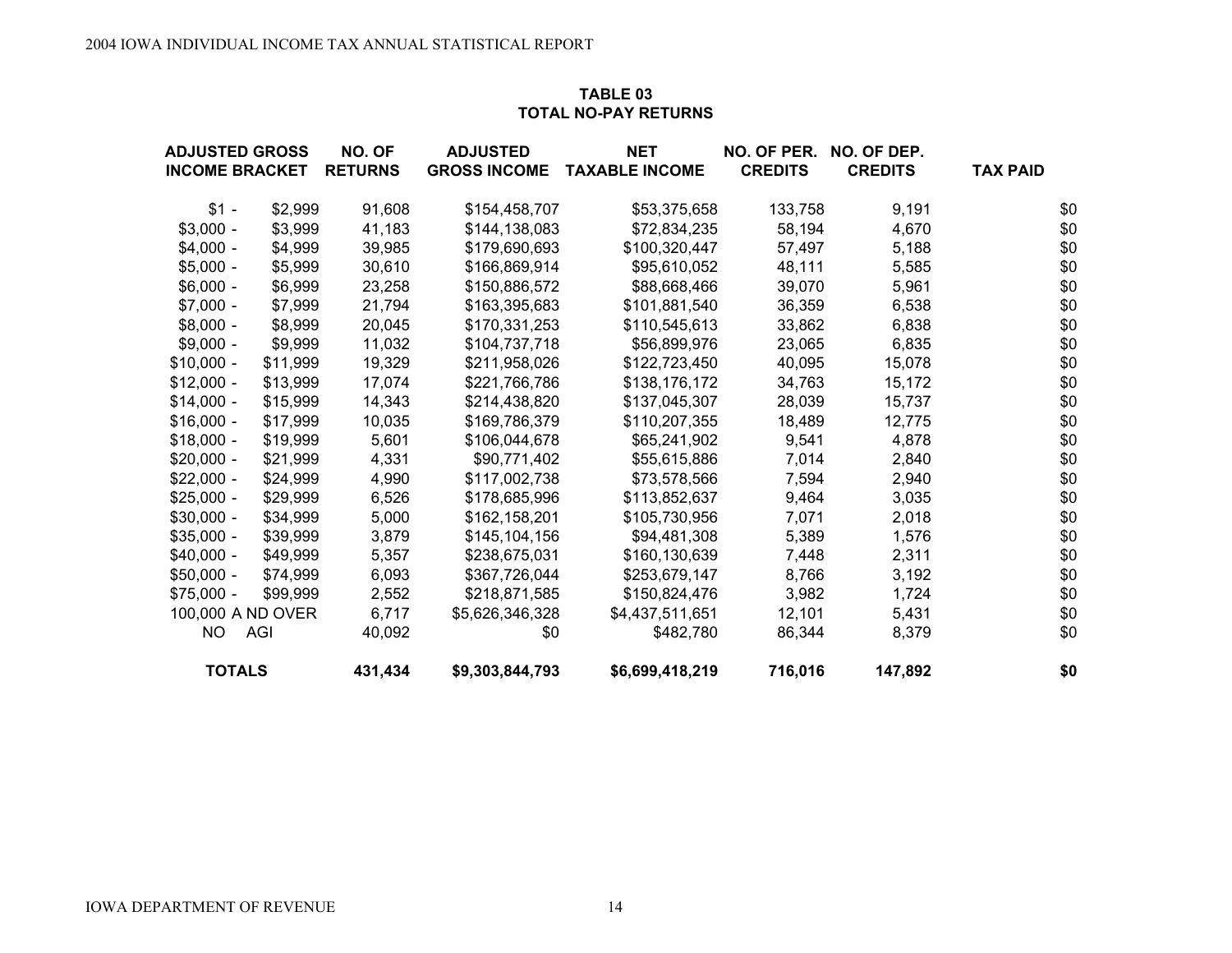#### **TABLE 03 TOTAL NO-PAY RETURNS**

| <b>ADJUSTED GROSS</b> |          | NO. OF         | <b>ADJUSTED</b>     | <b>NET</b>            | NO. OF PER.    | NO. OF DEP.    |                 |
|-----------------------|----------|----------------|---------------------|-----------------------|----------------|----------------|-----------------|
| <b>INCOME BRACKET</b> |          | <b>RETURNS</b> | <b>GROSS INCOME</b> | <b>TAXABLE INCOME</b> | <b>CREDITS</b> | <b>CREDITS</b> | <b>TAX PAID</b> |
| $$1 -$                | \$2,999  | 91,608         | \$154,458,707       | \$53,375,658          | 133,758        | 9,191          | \$0             |
| $$3,000 -$            | \$3,999  | 41,183         | \$144,138,083       | \$72,834,235          | 58,194         | 4,670          | \$0             |
| $$4,000 -$            | \$4,999  | 39,985         | \$179,690,693       | \$100,320,447         | 57,497         | 5,188          | \$0             |
| $$5,000 -$            | \$5,999  | 30,610         | \$166,869,914       | \$95,610,052          | 48,111         | 5,585          | \$0             |
| $$6,000 -$            | \$6,999  | 23,258         | \$150,886,572       | \$88,668,466          | 39,070         | 5,961          | \$0             |
| $$7,000 -$            | \$7,999  | 21,794         | \$163,395,683       | \$101,881,540         | 36,359         | 6,538          | \$0             |
| $$8,000 -$            | \$8,999  | 20,045         | \$170,331,253       | \$110,545,613         | 33,862         | 6,838          | \$0             |
| $$9,000 -$            | \$9,999  | 11,032         | \$104,737,718       | \$56,899,976          | 23,065         | 6,835          | \$0             |
| $$10,000 -$           | \$11,999 | 19,329         | \$211,958,026       | \$122,723,450         | 40,095         | 15,078         | \$0             |
| $$12,000 -$           | \$13,999 | 17,074         | \$221,766,786       | \$138,176,172         | 34,763         | 15,172         | \$0             |
| $$14,000 -$           | \$15,999 | 14,343         | \$214,438,820       | \$137,045,307         | 28,039         | 15,737         | \$0             |
| $$16,000 -$           | \$17,999 | 10,035         | \$169,786,379       | \$110,207,355         | 18,489         | 12,775         | \$0             |
| $$18,000 -$           | \$19,999 | 5,601          | \$106,044,678       | \$65,241,902          | 9,541          | 4,878          | \$0             |
| $$20,000 -$           | \$21,999 | 4,331          | \$90,771,402        | \$55,615,886          | 7,014          | 2,840          | \$0             |
| $$22,000 -$           | \$24,999 | 4,990          | \$117,002,738       | \$73,578,566          | 7,594          | 2,940          | \$0             |
| $$25,000 -$           | \$29,999 | 6,526          | \$178,685,996       | \$113,852,637         | 9,464          | 3,035          | \$0             |
| $$30,000 -$           | \$34,999 | 5,000          | \$162,158,201       | \$105,730,956         | 7,071          | 2,018          | \$0             |
| $$35,000 -$           | \$39,999 | 3,879          | \$145,104,156       | \$94,481,308          | 5,389          | 1,576          | \$0             |
| $$40,000 -$           | \$49,999 | 5,357          | \$238,675,031       | \$160,130,639         | 7,448          | 2,311          | \$0             |
| $$50,000 -$           | \$74,999 | 6,093          | \$367,726,044       | \$253,679,147         | 8,766          | 3,192          | \$0             |
| \$75,000 -            | \$99,999 | 2,552          | \$218,871,585       | \$150,824,476         | 3,982          | 1,724          | \$0             |
| 100,000 A ND OVER     |          | 6,717          | \$5,626,346,328     | \$4,437,511,651       | 12,101         | 5,431          | \$0             |
| NO                    | AGI      | 40,092         | \$0                 | \$482,780             | 86,344         | 8,379          | \$0             |
| <b>TOTALS</b>         |          | 431,434        | \$9,303,844,793     | \$6,699,418,219       | 716,016        | 147,892        | \$0             |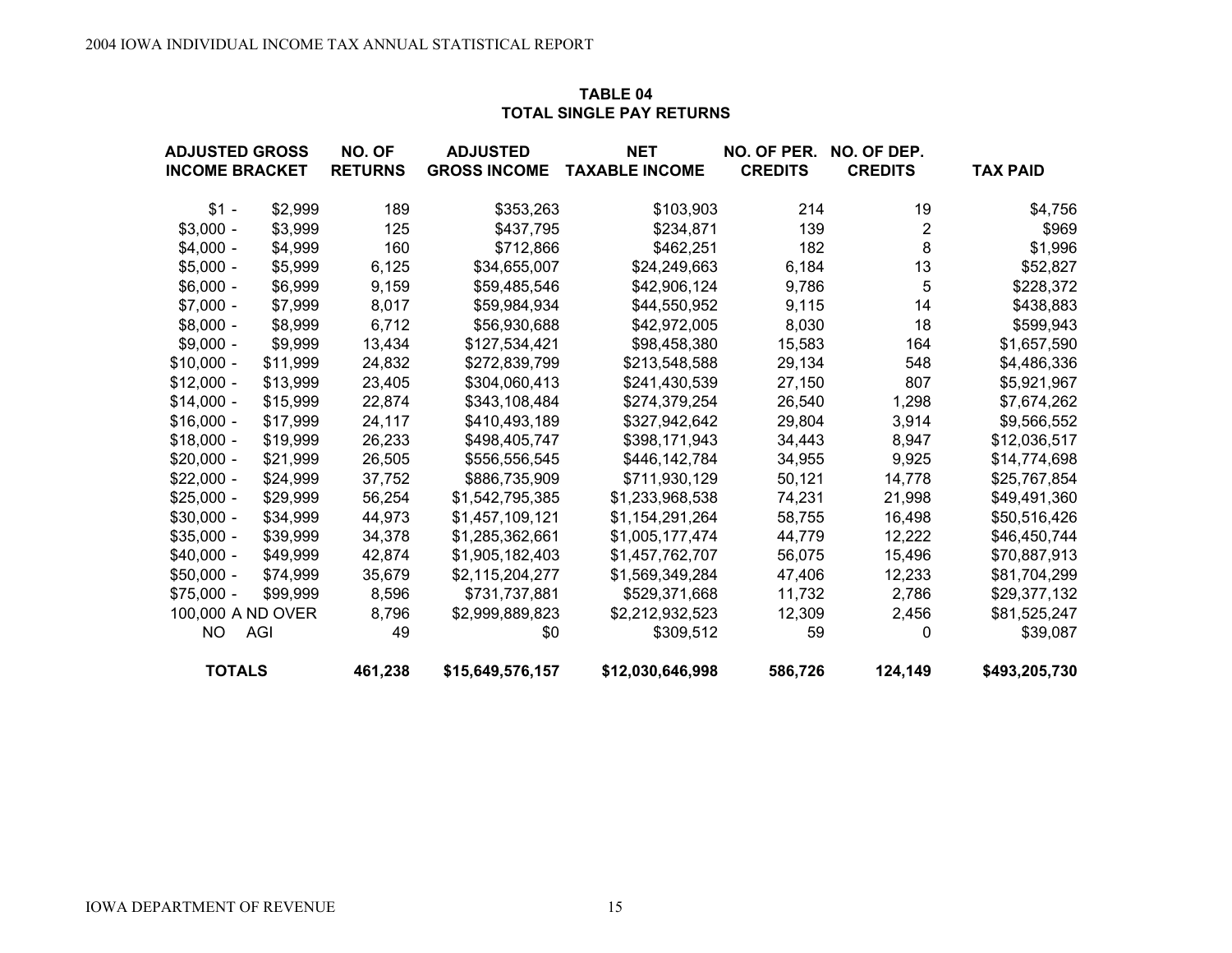## **TABLE 04TOTAL SINGLE PAY RETURNS**

| <b>ADJUSTED GROSS</b> |          | NO. OF         | <b>ADJUSTED</b>     | <b>NET</b>            | NO. OF PER.    | NO. OF DEP.    |                 |
|-----------------------|----------|----------------|---------------------|-----------------------|----------------|----------------|-----------------|
| <b>INCOME BRACKET</b> |          | <b>RETURNS</b> | <b>GROSS INCOME</b> | <b>TAXABLE INCOME</b> | <b>CREDITS</b> | <b>CREDITS</b> | <b>TAX PAID</b> |
| $$1 -$                | \$2,999  | 189            | \$353,263           | \$103,903             | 214            | 19             | \$4,756         |
| $$3,000 -$            | \$3,999  | 125            | \$437,795           | \$234,871             | 139            | $\mathbf 2$    | \$969           |
| $$4,000 -$            | \$4,999  | 160            | \$712,866           | \$462,251             | 182            | 8              | \$1,996         |
| $$5,000 -$            | \$5,999  | 6,125          | \$34,655,007        | \$24,249,663          | 6,184          | 13             | \$52,827        |
| $$6,000 -$            | \$6,999  | 9,159          | \$59,485,546        | \$42,906,124          | 9,786          | 5              | \$228,372       |
| $$7,000 -$            | \$7,999  | 8,017          | \$59,984,934        | \$44,550,952          | 9,115          | 14             | \$438,883       |
| $$8,000 -$            | \$8,999  | 6,712          | \$56,930,688        | \$42,972,005          | 8,030          | 18             | \$599,943       |
| $$9,000 -$            | \$9,999  | 13,434         | \$127,534,421       | \$98,458,380          | 15,583         | 164            | \$1,657,590     |
| $$10,000 -$           | \$11,999 | 24,832         | \$272,839,799       | \$213,548,588         | 29,134         | 548            | \$4,486,336     |
| $$12,000 -$           | \$13,999 | 23,405         | \$304,060,413       | \$241,430,539         | 27,150         | 807            | \$5,921,967     |
| $$14,000 -$           | \$15,999 | 22,874         | \$343,108,484       | \$274,379,254         | 26,540         | 1,298          | \$7,674,262     |
| $$16,000 -$           | \$17,999 | 24,117         | \$410,493,189       | \$327,942,642         | 29,804         | 3,914          | \$9,566,552     |
| $$18,000 -$           | \$19,999 | 26,233         | \$498,405,747       | \$398,171,943         | 34,443         | 8,947          | \$12,036,517    |
| $$20,000 -$           | \$21,999 | 26,505         | \$556,556,545       | \$446,142,784         | 34,955         | 9,925          | \$14,774,698    |
| $$22,000 -$           | \$24,999 | 37,752         | \$886,735,909       | \$711,930,129         | 50,121         | 14,778         | \$25,767,854    |
| $$25,000 -$           | \$29,999 | 56,254         | \$1,542,795,385     | \$1,233,968,538       | 74,231         | 21,998         | \$49,491,360    |
| $$30,000 -$           | \$34,999 | 44,973         | \$1,457,109,121     | \$1,154,291,264       | 58,755         | 16,498         | \$50,516,426    |
| $$35,000 -$           | \$39,999 | 34,378         | \$1,285,362,661     | \$1,005,177,474       | 44,779         | 12,222         | \$46,450,744    |
| $$40,000 -$           | \$49,999 | 42,874         | \$1,905,182,403     | \$1,457,762,707       | 56,075         | 15,496         | \$70,887,913    |
| $$50,000 -$           | \$74,999 | 35,679         | \$2,115,204,277     | \$1,569,349,284       | 47,406         | 12,233         | \$81,704,299    |
| $$75,000 -$           | \$99,999 | 8,596          | \$731,737,881       | \$529,371,668         | 11,732         | 2,786          | \$29,377,132    |
| 100,000 A ND OVER     |          | 8,796          | \$2,999,889,823     | \$2,212,932,523       | 12,309         | 2,456          | \$81,525,247    |
| <b>NO</b>             | AGI      | 49             | \$0                 | \$309,512             | 59             | 0              | \$39,087        |
| <b>TOTALS</b>         |          | 461,238        | \$15,649,576,157    | \$12,030,646,998      | 586,726        | 124,149        | \$493,205,730   |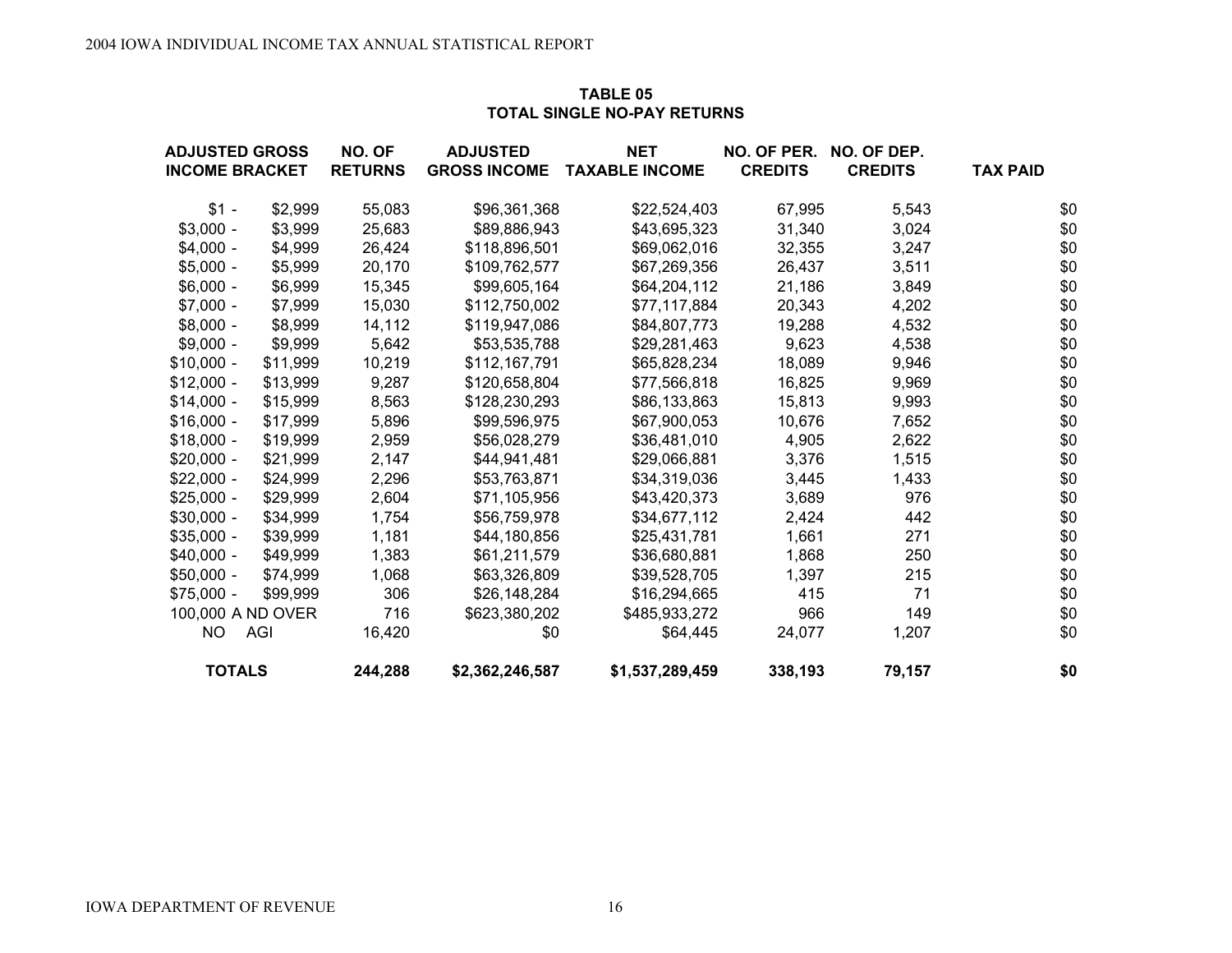## **TABLE 05TOTAL SINGLE NO-PAY RETURNS**

| <b>ADJUSTED GROSS</b> |          | NO. OF         | <b>ADJUSTED</b>     | <b>NET</b>            | NO. OF PER.    | NO. OF DEP.    |                 |
|-----------------------|----------|----------------|---------------------|-----------------------|----------------|----------------|-----------------|
| <b>INCOME BRACKET</b> |          | <b>RETURNS</b> | <b>GROSS INCOME</b> | <b>TAXABLE INCOME</b> | <b>CREDITS</b> | <b>CREDITS</b> | <b>TAX PAID</b> |
| $$1 -$                | \$2,999  | 55,083         | \$96,361,368        | \$22,524,403          | 67,995         | 5,543          | \$0             |
| $$3,000 -$            | \$3,999  | 25,683         | \$89,886,943        | \$43,695,323          | 31,340         | 3,024          | \$0             |
| $$4,000 -$            | \$4,999  | 26,424         | \$118,896,501       | \$69,062,016          | 32,355         | 3,247          | \$0             |
| $$5,000 -$            | \$5,999  | 20,170         | \$109,762,577       | \$67,269,356          | 26,437         | 3,511          | \$0             |
| $$6,000 -$            | \$6,999  | 15,345         | \$99,605,164        | \$64,204,112          | 21,186         | 3,849          | \$0             |
| $$7,000 -$            | \$7,999  | 15,030         | \$112,750,002       | \$77,117,884          | 20,343         | 4,202          | \$0             |
| $$8,000 -$            | \$8,999  | 14,112         | \$119,947,086       | \$84,807,773          | 19,288         | 4,532          | \$0             |
| $$9,000 -$            | \$9,999  | 5,642          | \$53,535,788        | \$29,281,463          | 9,623          | 4,538          | \$0             |
| $$10,000 -$           | \$11,999 | 10,219         | \$112,167,791       | \$65,828,234          | 18,089         | 9,946          | \$0             |
| $$12,000 -$           | \$13,999 | 9,287          | \$120,658,804       | \$77,566,818          | 16,825         | 9,969          | \$0             |
| $$14,000 -$           | \$15,999 | 8,563          | \$128,230,293       | \$86,133,863          | 15,813         | 9,993          | \$0             |
| $$16,000 -$           | \$17,999 | 5,896          | \$99,596,975        | \$67,900,053          | 10,676         | 7,652          | \$0             |
| $$18,000 -$           | \$19,999 | 2,959          | \$56,028,279        | \$36,481,010          | 4,905          | 2,622          | \$0             |
| $$20,000 -$           | \$21,999 | 2,147          | \$44,941,481        | \$29,066,881          | 3,376          | 1,515          | \$0             |
| $$22,000 -$           | \$24,999 | 2,296          | \$53,763,871        | \$34,319,036          | 3,445          | 1,433          | \$0             |
| $$25,000 -$           | \$29,999 | 2,604          | \$71,105,956        | \$43,420,373          | 3,689          | 976            | \$0             |
| $$30,000 -$           | \$34,999 | 1,754          | \$56,759,978        | \$34,677,112          | 2,424          | 442            | \$0             |
| $$35,000 -$           | \$39,999 | 1,181          | \$44,180,856        | \$25,431,781          | 1,661          | 271            | \$0             |
| $$40,000 -$           | \$49,999 | 1,383          | \$61,211,579        | \$36,680,881          | 1,868          | 250            | \$0             |
| $$50,000 -$           | \$74,999 | 1,068          | \$63,326,809        | \$39,528,705          | 1,397          | 215            | \$0             |
| $$75,000 -$           | \$99,999 | 306            | \$26,148,284        | \$16,294,665          | 415            | 71             | \$0             |
| 100,000 A ND OVER     |          | 716            | \$623,380,202       | \$485,933,272         | 966            | 149            | \$0             |
| <b>NO</b>             | AGI      | 16,420         | \$0                 | \$64,445              | 24,077         | 1,207          | \$0             |
| <b>TOTALS</b>         |          | 244,288        | \$2,362,246,587     | \$1,537,289,459       | 338,193        | 79,157         | \$0             |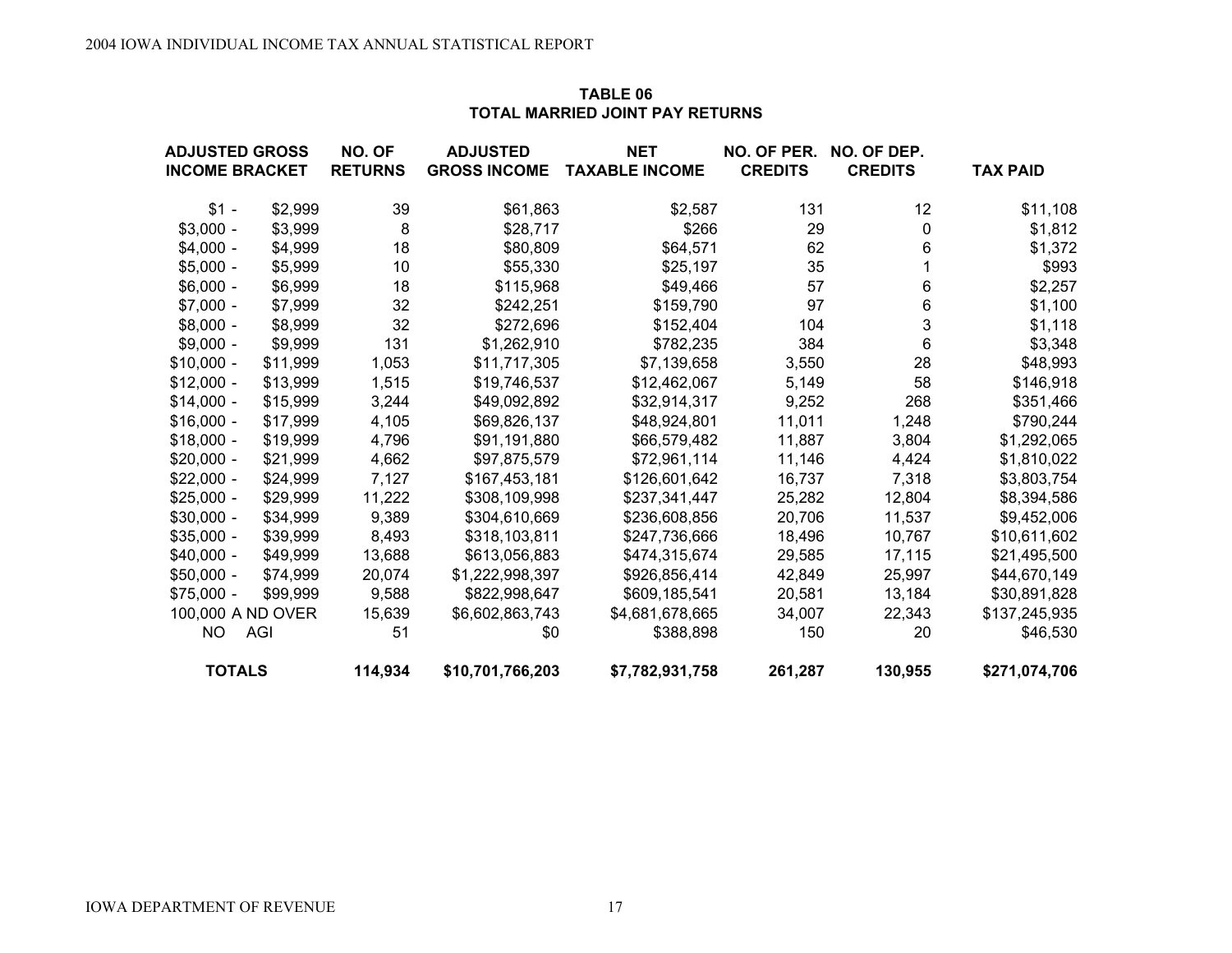| TOTAL MARRIED JOINT PAT RETURNS                |         |                          |                                        |                                     |                               |                               |                 |  |  |  |  |
|------------------------------------------------|---------|--------------------------|----------------------------------------|-------------------------------------|-------------------------------|-------------------------------|-----------------|--|--|--|--|
| <b>ADJUSTED GROSS</b><br><b>INCOME BRACKET</b> |         | NO. OF<br><b>RETURNS</b> | <b>ADJUSTED</b><br><b>GROSS INCOME</b> | <b>NET</b><br><b>TAXABLE INCOME</b> | NO. OF PER.<br><b>CREDITS</b> | NO. OF DEP.<br><b>CREDITS</b> | <b>TAX PAID</b> |  |  |  |  |
| $$1 -$                                         | \$2,999 | 39                       | \$61,863                               | \$2,587                             | 131                           | 12                            | \$11,108        |  |  |  |  |
| $$3.000 -$                                     | \$3,999 | 8                        | \$28,717                               | \$266                               | 29                            | 0                             | \$1,812         |  |  |  |  |
| $$4.000 -$                                     | \$4.999 | 18                       | \$80,809                               | \$64,571                            | 62                            | 6                             | \$1,372         |  |  |  |  |
| $$5,000 -$                                     | \$5,999 | 10                       | \$55,330                               | \$25,197                            | 35                            |                               | \$993           |  |  |  |  |
| $$6.000 -$                                     | \$6,999 | 18                       | \$115,968                              | \$49,466                            | 57                            | 6                             | \$2,257         |  |  |  |  |
| $$7.000 -$                                     | \$7.999 | 32                       | \$242.251                              | \$159,790                           | 97                            | 6                             | \$1,100         |  |  |  |  |
| $$8000 -$                                      | \$8999  | 32                       | \$272696                               | \$152404                            | 104                           |                               | \$118           |  |  |  |  |

#### **TABLE 06TOTAL MARRIED JOINT PAY RETURNS**

| <b>TOTALS</b>     |            | 114,934 | \$10,701,766,203 | \$7,782,931,758 | 261,287 | 130,955 | \$271,074,706 |
|-------------------|------------|---------|------------------|-----------------|---------|---------|---------------|
| <b>NO</b>         | <b>AGI</b> | 51      | \$0              | \$388,898       | 150     | 20      | \$46,530      |
| 100,000 A ND OVER |            | 15,639  | \$6,602,863,743  | \$4,681,678,665 | 34,007  | 22,343  | \$137,245,935 |
| $$75,000 -$       | \$99,999   | 9,588   | \$822,998,647    | \$609,185,541   | 20,581  | 13,184  | \$30,891,828  |
| $$50,000 -$       | \$74,999   | 20,074  | \$1,222,998,397  | \$926,856,414   | 42,849  | 25,997  | \$44,670,149  |
| $$40,000 -$       | \$49,999   | 13,688  | \$613,056,883    | \$474,315,674   | 29,585  | 17,115  | \$21,495,500  |
| $$35,000 -$       | \$39,999   | 8,493   | \$318,103,811    | \$247,736,666   | 18,496  | 10,767  | \$10,611,602  |
| $$30,000 -$       | \$34,999   | 9,389   | \$304,610,669    | \$236,608,856   | 20,706  | 11,537  | \$9,452,006   |
| $$25,000 -$       | \$29,999   | 11,222  | \$308,109,998    | \$237,341,447   | 25,282  | 12,804  | \$8,394,586   |
| $$22,000 -$       | \$24,999   | 7,127   | \$167,453,181    | \$126,601,642   | 16,737  | 7,318   | \$3,803,754   |
| $$20,000 -$       | \$21,999   | 4,662   | \$97,875,579     | \$72,961,114    | 11,146  | 4,424   | \$1,810,022   |
| $$18,000 -$       | \$19,999   | 4,796   | \$91,191,880     | \$66,579,482    | 11,887  | 3,804   | \$1,292,065   |
| $$16,000 -$       | \$17,999   | 4,105   | \$69,826,137     | \$48,924,801    | 11,011  | 1,248   | \$790,244     |
| $$14,000 -$       | \$15,999   | 3,244   | \$49,092,892     | \$32,914,317    | 9,252   | 268     | \$351,466     |
| $$12,000 -$       | \$13,999   | 1,515   | \$19,746,537     | \$12,462,067    | 5,149   | 58      | \$146,918     |
| $$10,000 -$       | \$11,999   | 1,053   | \$11,717,305     | \$7,139,658     | 3,550   | 28      | \$48,993      |
| $$9,000 -$        | \$9,999    | 131     | \$1,262,910      | \$782,235       | 384     | 6       | \$3,348       |
| $$8,000 -$        | \$8,999    | 32      | \$272,696        | \$152,404       | 104     | 3       | \$1,118       |
| $$7,000 -$        | \$7,999    | 32      | \$242,251        | \$159,790       | 97      | 6       | \$1,100       |
| $$6,000 -$        | \$6,999    | 18      | \$115,968        | \$49,466        | 57      | 6       | \$2,257       |
| $$5,000 -$        | \$5,999    | 10      | \$55,330         | \$25,197        | 35      |         | \$993         |
| $$4,000 -$        | \$4,999    | 18      | \$80,809         | \$64,571        | 62      | 6       | \$1,372       |
| $$3,000 -$        | \$3,999    | 8       | \$28,717         | \$266           | 29      | 0       | \$1,812       |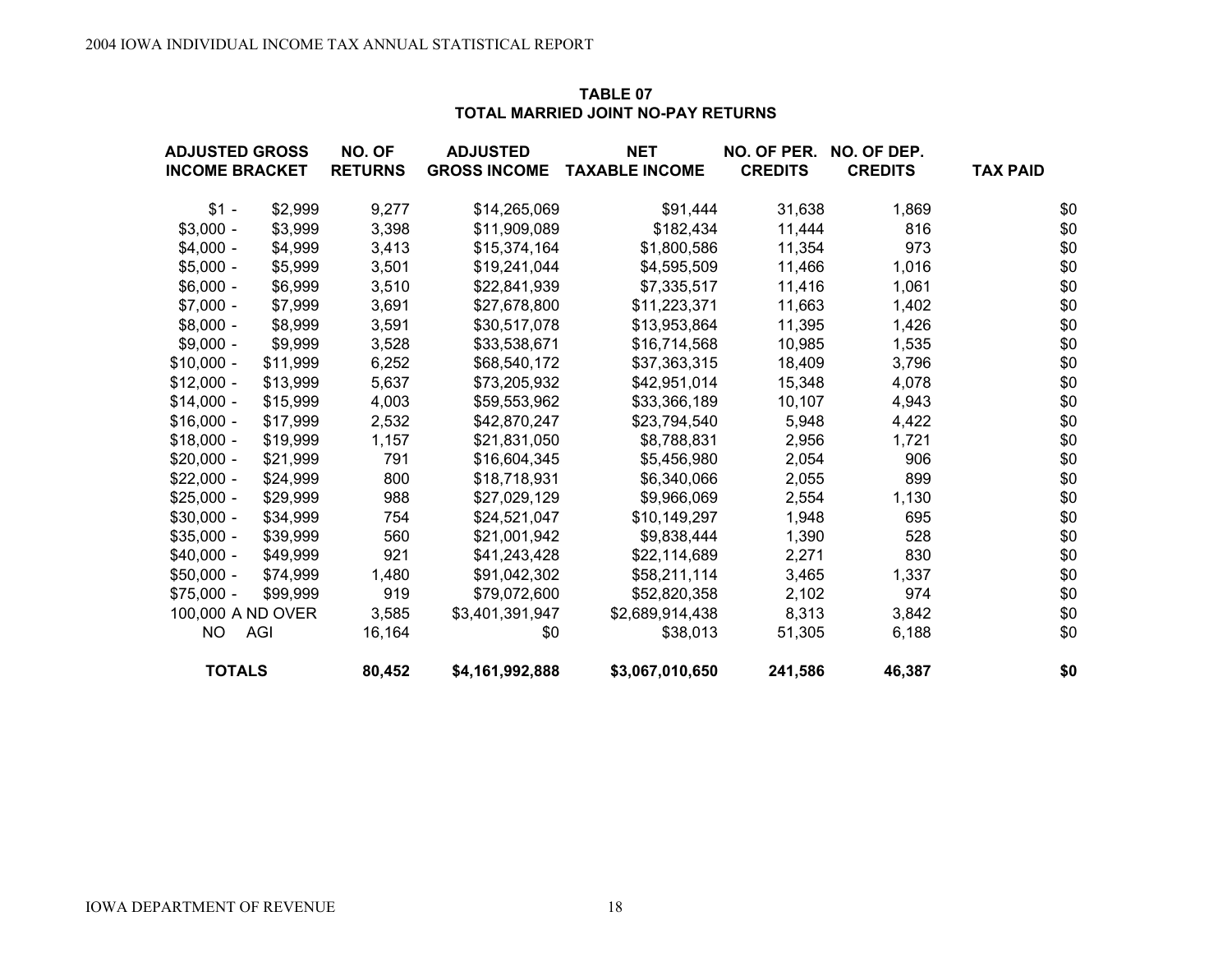| TABLE 07                           |
|------------------------------------|
| TOTAL MARRIED JOINT NO-PAY RETURNS |

| <b>ADJUSTED GROSS</b> |                   | NO. OF         | <b>ADJUSTED</b>     | <b>NET</b>            | NO. OF PER.    | NO. OF DEP.    |                 |
|-----------------------|-------------------|----------------|---------------------|-----------------------|----------------|----------------|-----------------|
| <b>INCOME BRACKET</b> |                   | <b>RETURNS</b> | <b>GROSS INCOME</b> | <b>TAXABLE INCOME</b> | <b>CREDITS</b> | <b>CREDITS</b> | <b>TAX PAID</b> |
| $$1 -$                | \$2,999           | 9,277          | \$14,265,069        | \$91,444              | 31,638         | 1,869          | \$0             |
| $$3,000 -$            | \$3,999           | 3,398          | \$11,909,089        | \$182,434             | 11,444         | 816            | \$0             |
| $$4,000 -$            | \$4,999           | 3,413          | \$15,374,164        | \$1,800,586           | 11,354         | 973            | \$0             |
| $$5,000 -$            | \$5,999           | 3,501          | \$19,241,044        | \$4,595,509           | 11,466         | 1,016          | \$0             |
| $$6,000 -$            | \$6,999           | 3,510          | \$22,841,939        | \$7,335,517           | 11,416         | 1,061          | \$0             |
| $$7,000 -$            | \$7,999           | 3,691          | \$27,678,800        | \$11,223,371          | 11,663         | 1,402          | \$0             |
| $$8,000 -$            | \$8,999           | 3,591          | \$30,517,078        | \$13,953,864          | 11,395         | 1,426          | \$0             |
| $$9,000 -$            | \$9,999           | 3,528          | \$33,538,671        | \$16,714,568          | 10,985         | 1,535          | \$0             |
| $$10,000 -$           | \$11,999          | 6,252          | \$68,540,172        | \$37,363,315          | 18,409         | 3,796          | \$0             |
| $$12,000 -$           | \$13,999          | 5,637          | \$73,205,932        | \$42,951,014          | 15,348         | 4,078          | \$0             |
| $$14,000 -$           | \$15,999          | 4,003          | \$59,553,962        | \$33,366,189          | 10,107         | 4,943          | \$0             |
| $$16,000 -$           | \$17,999          | 2,532          | \$42,870,247        | \$23,794,540          | 5,948          | 4,422          | \$0             |
| $$18,000 -$           | \$19,999          | 1,157          | \$21,831,050        | \$8,788,831           | 2,956          | 1,721          | \$0             |
| $$20,000 -$           | \$21,999          | 791            | \$16,604,345        | \$5,456,980           | 2,054          | 906            | \$0             |
| $$22,000 -$           | \$24,999          | 800            | \$18,718,931        | \$6,340,066           | 2,055          | 899            | \$0             |
| $$25,000 -$           | \$29,999          | 988            | \$27,029,129        | \$9,966,069           | 2,554          | 1,130          | \$0             |
| $$30,000 -$           | \$34,999          | 754            | \$24,521,047        | \$10,149,297          | 1,948          | 695            | \$0             |
| $$35,000 -$           | \$39,999          | 560            | \$21,001,942        | \$9,838,444           | 1,390          | 528            | \$0             |
| $$40,000 -$           | \$49,999          | 921            | \$41,243,428        | \$22,114,689          | 2,271          | 830            | \$0             |
| $$50,000 -$           | \$74,999          | 1,480          | \$91,042,302        | \$58,211,114          | 3,465          | 1,337          | \$0             |
| $$75,000 -$           | \$99,999          | 919            | \$79,072,600        | \$52,820,358          | 2,102          | 974            | \$0             |
|                       | 100,000 A ND OVER | 3,585          | \$3,401,391,947     | \$2,689,914,438       | 8,313          | 3,842          | \$0             |
| <b>NO</b>             | <b>AGI</b>        | 16,164         | \$0                 | \$38,013              | 51,305         | 6,188          | \$0             |
| <b>TOTALS</b>         |                   | 80,452         | \$4,161,992,888     | \$3,067,010,650       | 241,586        | 46,387         | \$0             |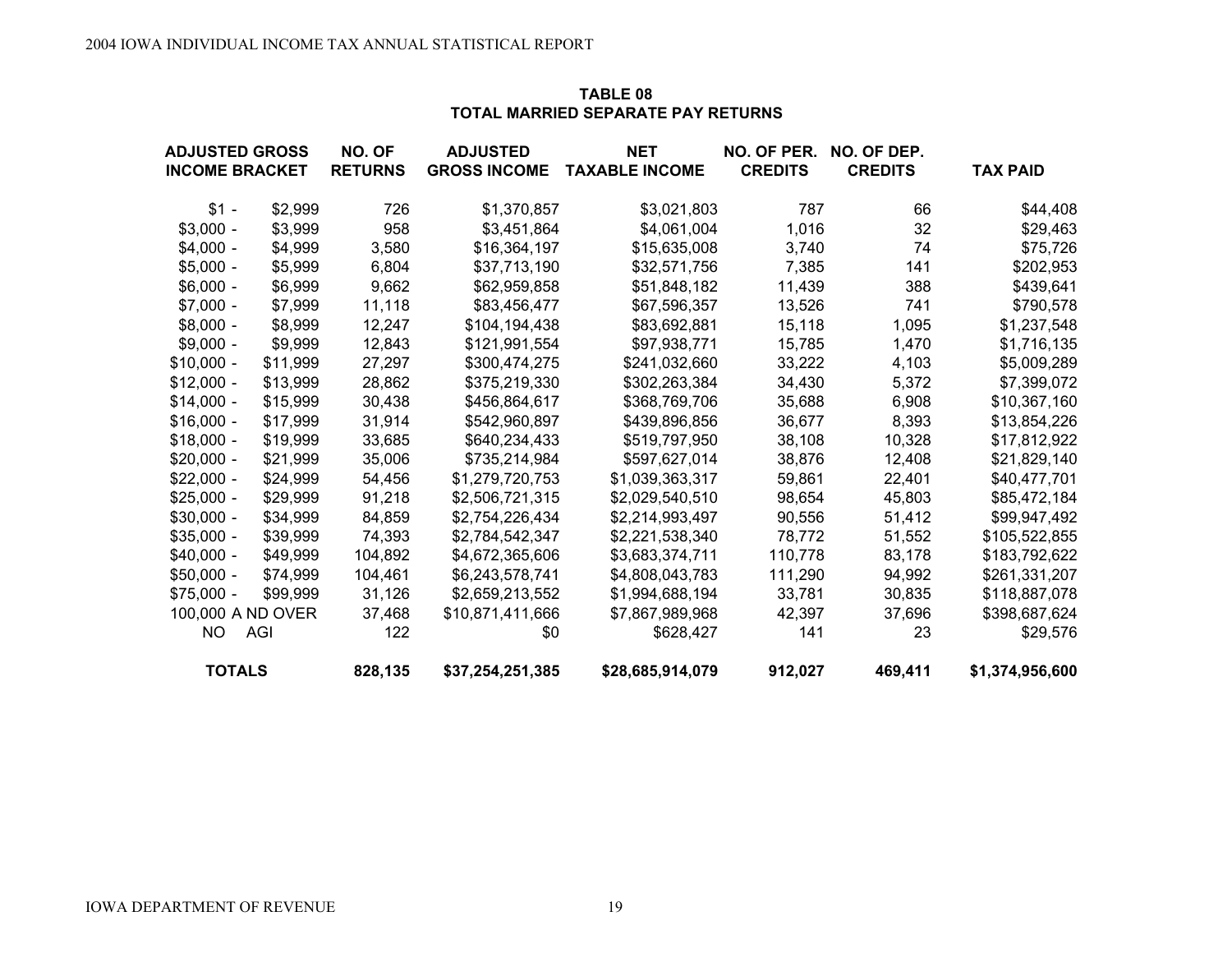| <b>TABLE 08</b>                    |
|------------------------------------|
| TOTAL MARRIED SEPARATE PAY RETURNS |

| <b>ADJUSTED GROSS</b> |          | NO. OF         | <b>ADJUSTED</b>     | <b>NET</b>            | NO. OF PER.    | NO. OF DEP.    |                 |
|-----------------------|----------|----------------|---------------------|-----------------------|----------------|----------------|-----------------|
| <b>INCOME BRACKET</b> |          | <b>RETURNS</b> | <b>GROSS INCOME</b> | <b>TAXABLE INCOME</b> | <b>CREDITS</b> | <b>CREDITS</b> | <b>TAX PAID</b> |
| $$1 -$                | \$2,999  | 726            | \$1,370,857         | \$3,021,803           | 787            | 66             | \$44,408        |
| $$3,000 -$            | \$3,999  | 958            | \$3,451,864         | \$4,061,004           | 1,016          | 32             | \$29,463        |
| $$4,000 -$            | \$4,999  | 3,580          | \$16,364,197        | \$15,635,008          | 3,740          | 74             | \$75,726        |
| $$5,000 -$            | \$5,999  | 6,804          | \$37,713,190        | \$32,571,756          | 7,385          | 141            | \$202,953       |
| $$6,000 -$            | \$6,999  | 9,662          | \$62,959,858        | \$51,848,182          | 11,439         | 388            | \$439,641       |
| $$7,000 -$            | \$7,999  | 11,118         | \$83,456,477        | \$67,596,357          | 13,526         | 741            | \$790,578       |
| $$8,000 -$            | \$8,999  | 12,247         | \$104,194,438       | \$83,692,881          | 15,118         | 1,095          | \$1,237,548     |
| $$9,000 -$            | \$9,999  | 12,843         | \$121,991,554       | \$97,938,771          | 15,785         | 1,470          | \$1,716,135     |
| $$10,000 -$           | \$11,999 | 27,297         | \$300,474,275       | \$241,032,660         | 33,222         | 4,103          | \$5,009,289     |
| $$12,000 -$           | \$13,999 | 28,862         | \$375,219,330       | \$302,263,384         | 34,430         | 5,372          | \$7,399,072     |
| $$14,000 -$           | \$15,999 | 30,438         | \$456,864,617       | \$368,769,706         | 35,688         | 6,908          | \$10,367,160    |
| $$16,000 -$           | \$17,999 | 31,914         | \$542,960,897       | \$439,896,856         | 36,677         | 8,393          | \$13,854,226    |
| $$18,000 -$           | \$19,999 | 33,685         | \$640,234,433       | \$519,797,950         | 38,108         | 10,328         | \$17,812,922    |
| $$20,000 -$           | \$21,999 | 35,006         | \$735,214,984       | \$597,627,014         | 38,876         | 12,408         | \$21,829,140    |
| $$22,000 -$           | \$24,999 | 54,456         | \$1,279,720,753     | \$1,039,363,317       | 59,861         | 22,401         | \$40,477,701    |
| $$25,000 -$           | \$29,999 | 91,218         | \$2,506,721,315     | \$2,029,540,510       | 98,654         | 45,803         | \$85,472,184    |
| $$30,000 -$           | \$34,999 | 84,859         | \$2,754,226,434     | \$2,214,993,497       | 90,556         | 51,412         | \$99,947,492    |
| $$35,000 -$           | \$39,999 | 74,393         | \$2,784,542,347     | \$2,221,538,340       | 78,772         | 51,552         | \$105,522,855   |
| $$40,000 -$           | \$49,999 | 104,892        | \$4,672,365,606     | \$3,683,374,711       | 110,778        | 83,178         | \$183,792,622   |
| $$50,000 -$           | \$74,999 | 104,461        | \$6,243,578,741     | \$4,808,043,783       | 111,290        | 94,992         | \$261,331,207   |
| $$75,000 -$           | \$99,999 | 31,126         | \$2,659,213,552     | \$1,994,688,194       | 33,781         | 30,835         | \$118,887,078   |
| 100,000 A ND OVER     |          | 37,468         | \$10,871,411,666    | \$7,867,989,968       | 42,397         | 37,696         | \$398,687,624   |
| <b>NO</b>             | AGI      | 122            | \$0                 | \$628,427             | 141            | 23             | \$29,576        |
| <b>TOTALS</b>         |          | 828,135        | \$37,254,251,385    | \$28,685,914,079      | 912,027        | 469,411        | \$1,374,956,600 |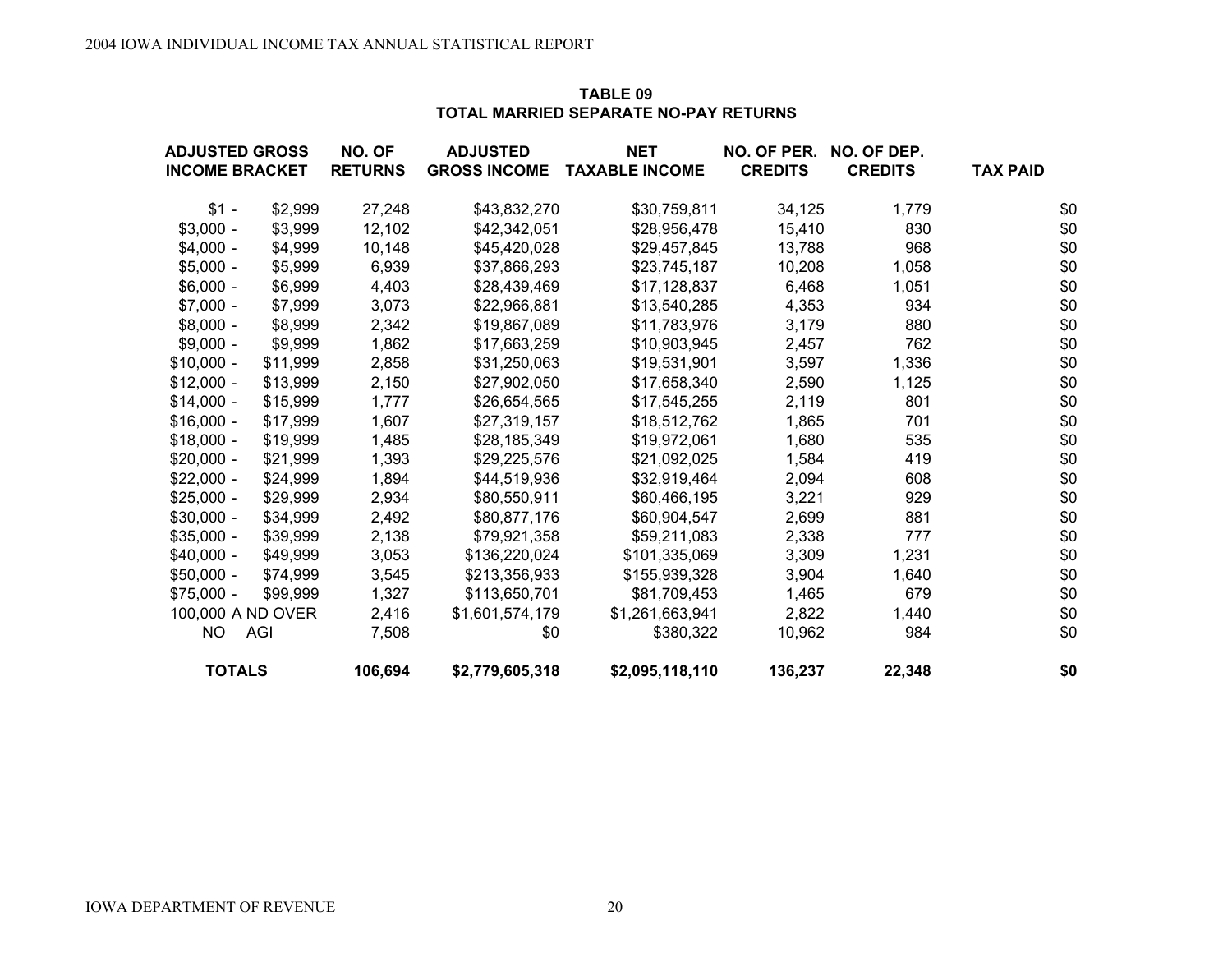| TABLE 09                              |  |
|---------------------------------------|--|
| TOTAL MARRIED SEPARATE NO-PAY RETURNS |  |

| <b>ADJUSTED GROSS</b> |          | NO. OF         | <b>ADJUSTED</b>     | <b>NET</b>            | NO. OF PER.    | NO. OF DEP.    |                 |
|-----------------------|----------|----------------|---------------------|-----------------------|----------------|----------------|-----------------|
| <b>INCOME BRACKET</b> |          | <b>RETURNS</b> | <b>GROSS INCOME</b> | <b>TAXABLE INCOME</b> | <b>CREDITS</b> | <b>CREDITS</b> | <b>TAX PAID</b> |
| $$1 -$                | \$2,999  | 27,248         | \$43,832,270        | \$30,759,811          | 34,125         | 1,779          | \$0             |
| $$3,000 -$            | \$3,999  | 12,102         | \$42,342,051        | \$28,956,478          | 15,410         | 830            | \$0             |
| $$4,000 -$            | \$4,999  | 10,148         | \$45,420,028        | \$29,457,845          | 13,788         | 968            | \$0             |
| $$5,000 -$            | \$5,999  | 6,939          | \$37,866,293        | \$23,745,187          | 10,208         | 1,058          | \$0             |
| $$6,000 -$            | \$6,999  | 4,403          | \$28,439,469        | \$17,128,837          | 6,468          | 1,051          | \$0             |
| $$7,000 -$            | \$7,999  | 3,073          | \$22,966,881        | \$13,540,285          | 4,353          | 934            | \$0             |
| $$8,000 -$            | \$8,999  | 2,342          | \$19,867,089        | \$11,783,976          | 3,179          | 880            | \$0             |
| $$9,000 -$            | \$9,999  | 1,862          | \$17,663,259        | \$10,903,945          | 2,457          | 762            | \$0             |
| $$10,000 -$           | \$11,999 | 2,858          | \$31,250,063        | \$19,531,901          | 3,597          | 1,336          | \$0             |
| $$12,000 -$           | \$13,999 | 2,150          | \$27,902,050        | \$17,658,340          | 2,590          | 1,125          | \$0             |
| $$14,000 -$           | \$15,999 | 1,777          | \$26,654,565        | \$17,545,255          | 2,119          | 801            | \$0             |
| $$16,000 -$           | \$17,999 | 1,607          | \$27,319,157        | \$18,512,762          | 1,865          | 701            | \$0             |
| $$18,000 -$           | \$19,999 | 1,485          | \$28,185,349        | \$19,972,061          | 1,680          | 535            | \$0             |
| $$20,000 -$           | \$21,999 | 1,393          | \$29,225,576        | \$21,092,025          | 1,584          | 419            | \$0             |
| $$22,000 -$           | \$24,999 | 1,894          | \$44,519,936        | \$32,919,464          | 2,094          | 608            | \$0             |
| $$25,000 -$           | \$29,999 | 2,934          | \$80,550,911        | \$60,466,195          | 3,221          | 929            | \$0             |
| $$30,000 -$           | \$34,999 | 2,492          | \$80,877,176        | \$60,904,547          | 2,699          | 881            | \$0             |
| $$35,000 -$           | \$39,999 | 2,138          | \$79,921,358        | \$59,211,083          | 2,338          | 777            | \$0             |
| $$40,000 -$           | \$49,999 | 3,053          | \$136,220,024       | \$101,335,069         | 3,309          | 1,231          | \$0             |
| $$50,000 -$           | \$74,999 | 3,545          | \$213,356,933       | \$155,939,328         | 3,904          | 1,640          | \$0             |
| $$75,000 -$           | \$99,999 | 1,327          | \$113,650,701       | \$81,709,453          | 1,465          | 679            | \$0             |
| 100,000 A ND OVER     |          | 2,416          | \$1,601,574,179     | \$1,261,663,941       | 2,822          | 1,440          | \$0             |
| <b>NO</b>             | AGI      | 7,508          | \$0                 | \$380,322             | 10,962         | 984            | \$0             |
| <b>TOTALS</b>         |          | 106,694        | \$2,779,605,318     | \$2,095,118,110       | 136,237        | 22,348         | \$0             |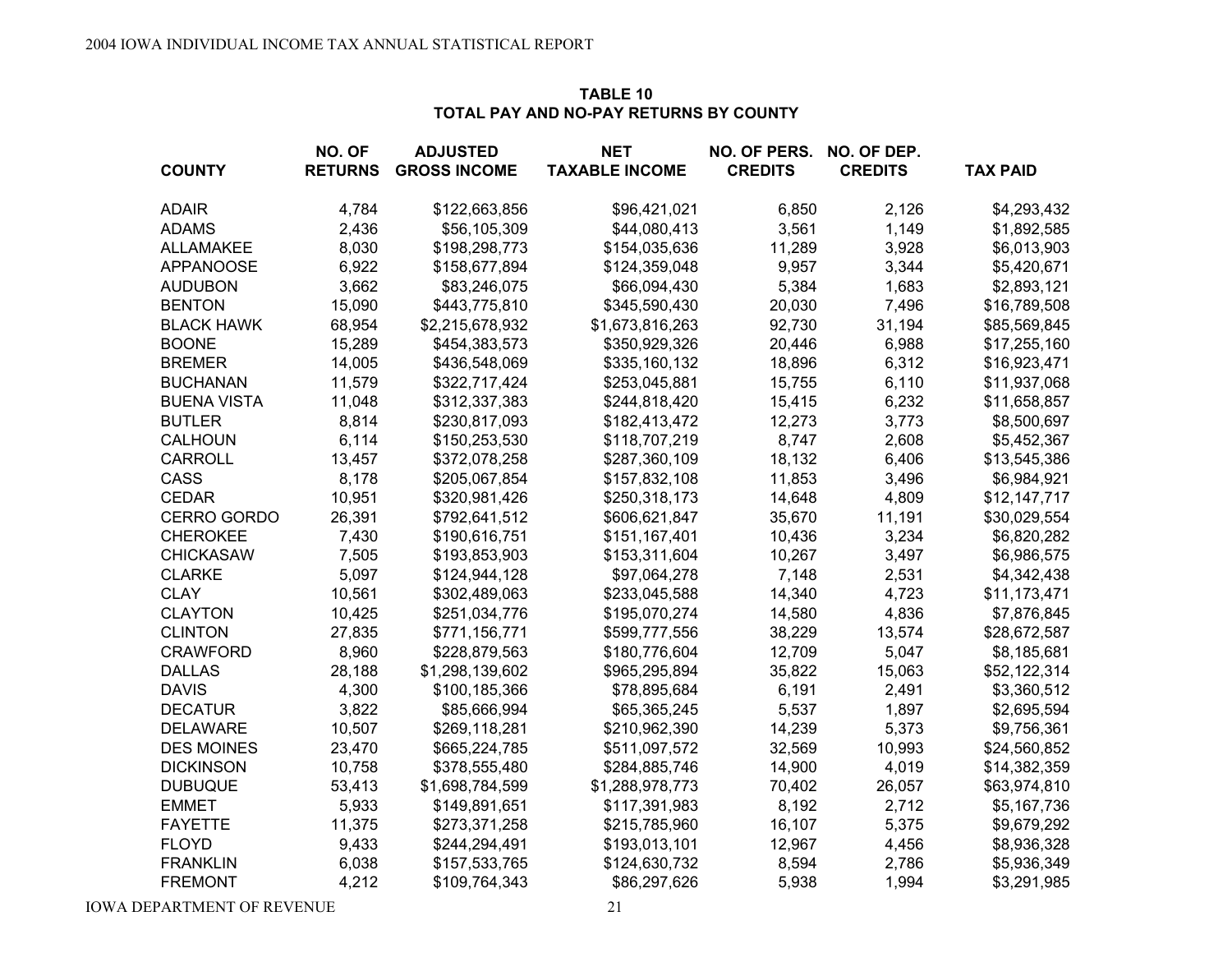#### **NO. OFADJUSTED NET NO. OF PERS. NO. OF DEP.COUNTY RETURNS GROSS INCOME TAXABLE INCOME CREDITS CREDITS TAX PAITAX PAID** ADAIR 4,784 \$122,663,856 \$96,421,021 6,850 2,126 \$4,293,432 ADAMS 2,436 \$56,105,309 \$44,080,413 3,561 1,149 \$1,892,585 ALLAMAKEE 8,030 \$198,298,773 \$154,035,636 11,289 3,928 \$6,013,903 APPANOOSE 6,922 \$158,677,894 \$124,359,048 9,957 3,344 \$5,420,671 AUDUBON 3,662 \$83,246,075 \$66,094,430 5,384 1,683 \$2,893,121 BENTON 15,090 \$443,775,810 \$345,590,430 20,030 7,496 \$16,789,508 BLACK HAWK 68,954 \$2,215,678,932 \$1,673,816,263 92,730 31,194 \$85,569,845 BOONE 15,289 \$454,383,573 \$350,929,326 20,446 6,988 \$17,255,160 BREMER 14,005 \$436,548,069 \$335,160,132 18,896 6,312 \$16,923,471 BUCHANAN 11,579 \$322,717,424 \$253,045,881 15,755 6,110 \$11,937,068 BUENA VISTA 11,048 \$312,337,383 \$244,818,420 15,415 6,232 \$11,658,857 BUTLER 8,814 \$230,817,093 \$182,413,472 12,273 3,773 \$8,500,697 CALHOUN 6,114 \$150,253,530 \$118,707,219 8,747 2,608 \$5,452,367 CARROLL 13,457 \$372,078,258 \$287,360,109 18,132 6,406 \$13,545,386 CASS 8,178 \$205,067,854 \$157,832,108 11,853 3,496 \$6,984,921 CEDAR 10,951 \$320,981,426 \$250,318,173 14,648 4,809 \$12,147,717 CERRO GORDO 26,391 \$792,641,512 \$606,621,847 35,670 11,191 \$30,029,554 CHEROKEE 7,430 \$190,616,751 \$151,167,401 10,436 3,234 \$6,820,282 CHICKASAW 7,505 \$193,853,903 \$153,311,604 10,267 3,497 \$6,986,575 CLARKE 5,097 \$124,944,128 \$97,064,278 7,148 2,531 \$4,342,438 CLAY 10,561 \$302,489,063 \$233,045,588 14,340 4,723 \$11,173,471 CLAYTON 10,425 \$251,034,776 \$195,070,274 14,580 4,836 \$7,876,845 CLINTON 27,835 \$771,156,771 \$599,777,556 38,229 13,574 \$28,672,587 CRAWFORD 8,960 \$228,879,563 \$180,776,604 12,709 5,047 \$8,185,681 DALLAS 28,188 \$1,298,139,602 \$965,295,894 35,822 15,063 \$52,122,314 DAVIS 4,300 \$100,185,366 \$78,895,684 6,191 2,491 \$3,360,512 DECATUR 3,822 \$85,666,994 \$65,365,245 5,537 1,897 \$2,695,594 DELAWARE 10,507 \$269,118,281 \$210,962,390 14,239 5,373 \$9,756,361 DES MOINES 23,470 \$665,224,785 \$511,097,572 32,569 10,993 \$24,560,852 DICKINSON 10,758 \$378,555,480 \$284,885,746 14,900 4,019 \$14,382,359 DUBUQUE 53,413 \$1,698,784,599 \$1,288,978,773 70,402 26,057 \$63,974,810 EMMET 5,933 \$149,891,651 \$117,391,983 8,192 2,712 \$5,167,736 FAYETTE 11,375 \$273,371,258 \$215,785,960 16,107 5,375 \$9,679,292 FLOYD 9,433 \$244,294,491 \$193,013,101 12,967 4,456 \$8,936,328 FRANKLIN 6,038 \$157,533,765 \$124,630,732 8,594 2,786 \$5,936,349

#### **TABLE 10TOTAL PAY AND NO-PAY RETURNS BY COUNTY**

IOWA DEPARTMENT OF REVENUE 21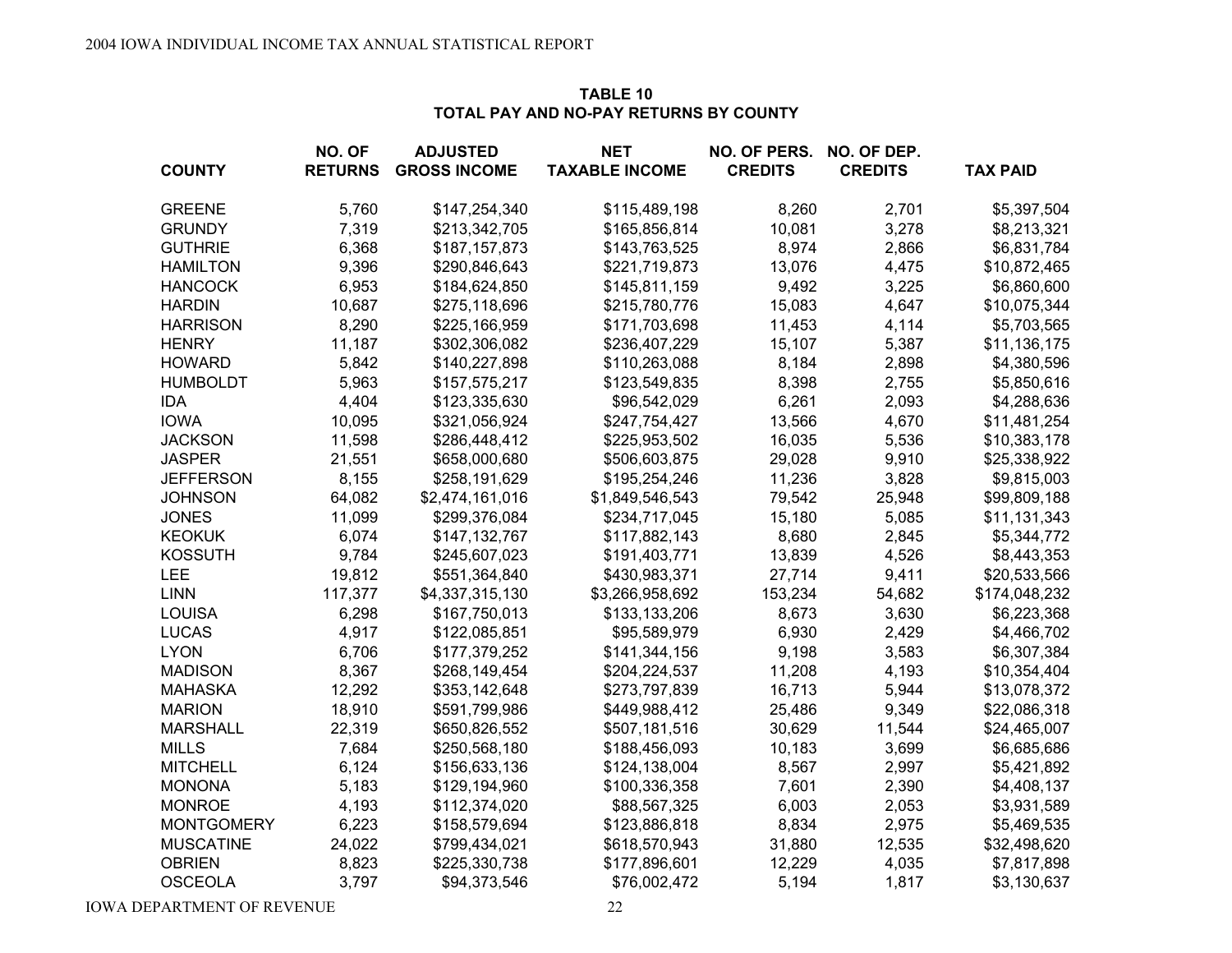| <b>COUNTY</b>     | NO. OF<br><b>RETURNS</b> | <b>ADJUSTED</b><br><b>GROSS INCOME</b> | <b>NET</b><br><b>TAXABLE INCOME</b> | NO. OF PERS.<br><b>CREDITS</b> | NO. OF DEP.<br><b>CREDITS</b> | <b>TAX PAID</b> |
|-------------------|--------------------------|----------------------------------------|-------------------------------------|--------------------------------|-------------------------------|-----------------|
|                   |                          |                                        |                                     |                                |                               |                 |
| <b>GREENE</b>     | 5,760                    | \$147,254,340                          | \$115,489,198                       | 8,260                          | 2,701                         | \$5,397,504     |
| <b>GRUNDY</b>     | 7,319                    | \$213,342,705                          | \$165,856,814                       | 10,081                         | 3,278                         | \$8,213,321     |
| <b>GUTHRIE</b>    | 6,368                    | \$187,157,873                          | \$143,763,525                       | 8,974                          | 2,866                         | \$6,831,784     |
| <b>HAMILTON</b>   | 9,396                    | \$290,846,643                          | \$221,719,873                       | 13,076                         | 4,475                         | \$10,872,465    |
| <b>HANCOCK</b>    | 6,953                    | \$184,624,850                          | \$145,811,159                       | 9,492                          | 3,225                         | \$6,860,600     |
| <b>HARDIN</b>     | 10,687                   | \$275,118,696                          | \$215,780,776                       | 15,083                         | 4,647                         | \$10,075,344    |
| <b>HARRISON</b>   | 8,290                    | \$225,166,959                          | \$171,703,698                       | 11,453                         | 4,114                         | \$5,703,565     |
| <b>HENRY</b>      | 11,187                   | \$302,306,082                          | \$236,407,229                       | 15,107                         | 5,387                         | \$11,136,175    |
| <b>HOWARD</b>     | 5,842                    | \$140,227,898                          | \$110,263,088                       | 8,184                          | 2,898                         | \$4,380,596     |
| <b>HUMBOLDT</b>   | 5,963                    | \$157,575,217                          | \$123,549,835                       | 8,398                          | 2,755                         | \$5,850,616     |
| <b>IDA</b>        | 4,404                    | \$123,335,630                          | \$96,542,029                        | 6,261                          | 2,093                         | \$4,288,636     |
| <b>IOWA</b>       | 10,095                   | \$321,056,924                          | \$247,754,427                       | 13,566                         | 4,670                         | \$11,481,254    |
| <b>JACKSON</b>    | 11,598                   | \$286,448,412                          | \$225,953,502                       | 16,035                         | 5,536                         | \$10,383,178    |
| <b>JASPER</b>     | 21,551                   | \$658,000,680                          | \$506,603,875                       | 29,028                         | 9,910                         | \$25,338,922    |
| <b>JEFFERSON</b>  | 8,155                    | \$258,191,629                          | \$195,254,246                       | 11,236                         | 3,828                         | \$9,815,003     |
| <b>JOHNSON</b>    | 64,082                   | \$2,474,161,016                        | \$1,849,546,543                     | 79,542                         | 25,948                        | \$99,809,188    |
| <b>JONES</b>      | 11,099                   | \$299,376,084                          | \$234,717,045                       | 15,180                         | 5,085                         | \$11,131,343    |
| <b>KEOKUK</b>     | 6,074                    | \$147,132,767                          | \$117,882,143                       | 8,680                          | 2,845                         | \$5,344,772     |
| <b>KOSSUTH</b>    | 9,784                    | \$245,607,023                          | \$191,403,771                       | 13,839                         | 4,526                         | \$8,443,353     |
| <b>LEE</b>        | 19,812                   | \$551,364,840                          | \$430,983,371                       | 27,714                         | 9,411                         | \$20,533,566    |
| <b>LINN</b>       | 117,377                  | \$4,337,315,130                        | \$3,266,958,692                     | 153,234                        | 54,682                        | \$174,048,232   |
| <b>LOUISA</b>     | 6,298                    | \$167,750,013                          | \$133,133,206                       | 8,673                          | 3,630                         | \$6,223,368     |
| <b>LUCAS</b>      | 4,917                    | \$122,085,851                          | \$95,589,979                        | 6,930                          | 2,429                         | \$4,466,702     |
| <b>LYON</b>       | 6,706                    | \$177,379,252                          | \$141,344,156                       | 9,198                          | 3,583                         | \$6,307,384     |
| <b>MADISON</b>    | 8,367                    | \$268,149,454                          | \$204,224,537                       | 11,208                         | 4,193                         | \$10,354,404    |
| <b>MAHASKA</b>    | 12,292                   | \$353,142,648                          | \$273,797,839                       | 16,713                         | 5,944                         | \$13,078,372    |
| <b>MARION</b>     | 18,910                   | \$591,799,986                          | \$449,988,412                       | 25,486                         | 9,349                         | \$22,086,318    |
| <b>MARSHALL</b>   | 22,319                   | \$650,826,552                          | \$507,181,516                       | 30,629                         | 11,544                        | \$24,465,007    |
| <b>MILLS</b>      | 7,684                    | \$250,568,180                          | \$188,456,093                       | 10,183                         | 3,699                         | \$6,685,686     |
| <b>MITCHELL</b>   | 6,124                    | \$156,633,136                          | \$124,138,004                       | 8,567                          | 2,997                         | \$5,421,892     |
| <b>MONONA</b>     | 5,183                    | \$129,194,960                          | \$100,336,358                       | 7,601                          | 2,390                         | \$4,408,137     |
| <b>MONROE</b>     | 4,193                    | \$112,374,020                          | \$88,567,325                        | 6,003                          | 2,053                         | \$3,931,589     |
| <b>MONTGOMERY</b> | 6,223                    | \$158,579,694                          | \$123,886,818                       | 8,834                          | 2,975                         | \$5,469,535     |
| <b>MUSCATINE</b>  | 24,022                   | \$799,434,021                          | \$618,570,943                       | 31,880                         | 12,535                        | \$32,498,620    |
| <b>OBRIEN</b>     | 8,823                    | \$225,330,738                          | \$177,896,601                       | 12,229                         | 4,035                         | \$7,817,898     |
| <b>OSCEOLA</b>    | 3,797                    | \$94,373,546                           | \$76,002,472                        | 5,194                          | 1,817                         | \$3,130,637     |

## **TABLE 10TOTAL PAY AND NO-PAY RETURNS BY COUNTY**

**IOWA DEPARTMENT OF REVENUE** 22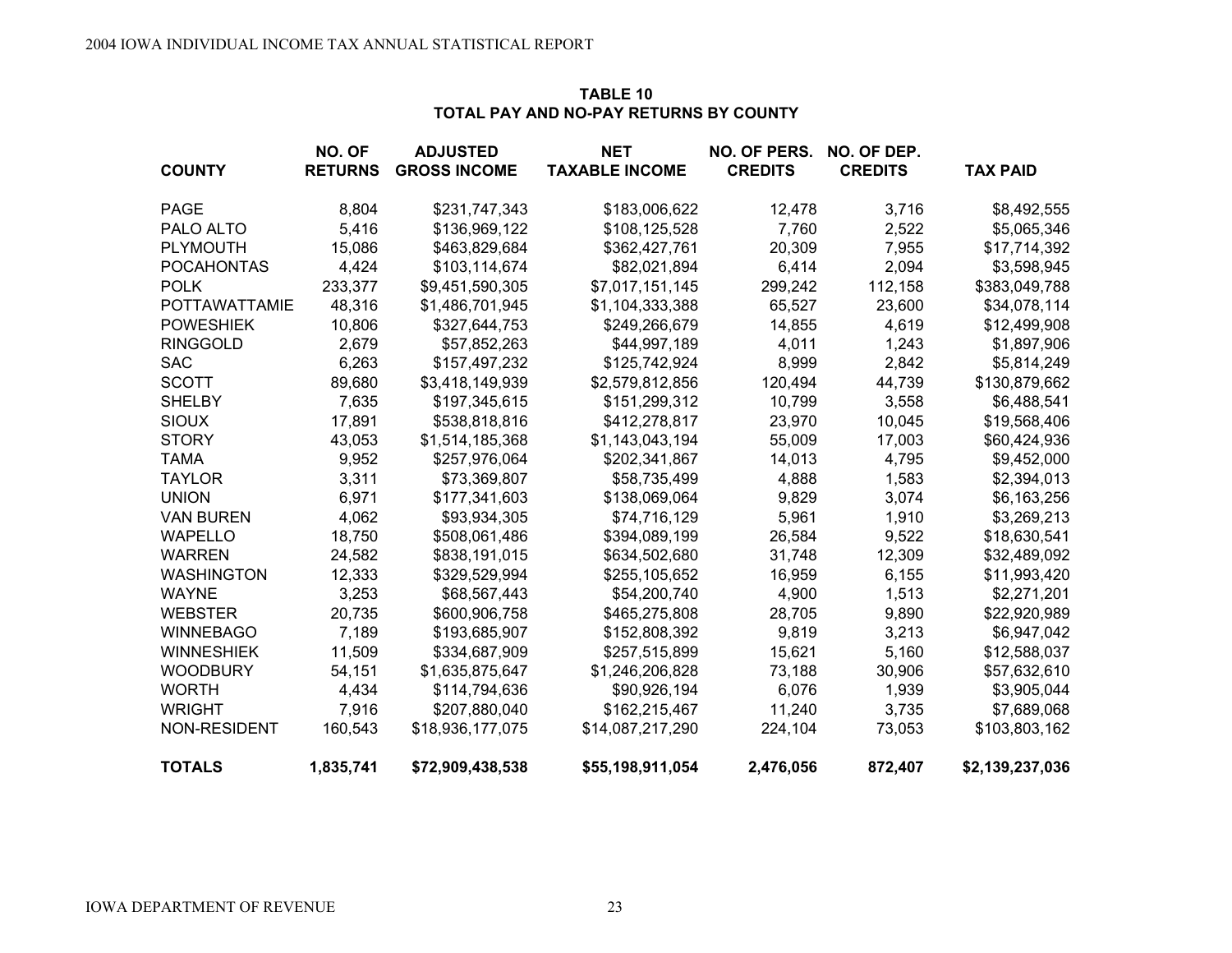|                      | NO. OF         | <b>ADJUSTED</b>     | NET                   | NO. OF PERS.   | NO. OF DEP.    |                 |
|----------------------|----------------|---------------------|-----------------------|----------------|----------------|-----------------|
| <b>COUNTY</b>        | <b>RETURNS</b> | <b>GROSS INCOME</b> | <b>TAXABLE INCOME</b> | <b>CREDITS</b> | <b>CREDITS</b> | <b>TAX PAID</b> |
| PAGE                 | 8,804          | \$231,747,343       | \$183,006,622         | 12,478         | 3,716          | \$8,492,555     |
| PALO ALTO            | 5,416          | \$136,969,122       | \$108,125,528         | 7,760          | 2,522          | \$5,065,346     |
| PLYMOUTH             | 15,086         | \$463,829,684       | \$362,427,761         | 20,309         | 7,955          | \$17,714,392    |
| <b>POCAHONTAS</b>    | 4,424          | \$103,114,674       | \$82,021,894          | 6,414          | 2,094          | \$3,598,945     |
| <b>POLK</b>          | 233,377        | \$9,451,590,305     | \$7,017,151,145       | 299,242        | 112,158        | \$383,049,788   |
| <b>POTTAWATTAMIE</b> | 48,316         | \$1,486,701,945     | \$1,104,333,388       | 65,527         | 23,600         | \$34,078,114    |
| <b>POWESHIEK</b>     | 10,806         | \$327,644,753       | \$249,266,679         | 14,855         | 4,619          | \$12,499,908    |
| <b>RINGGOLD</b>      | 2,679          | \$57,852,263        | \$44,997,189          | 4,011          | 1,243          | \$1,897,906     |
| <b>SAC</b>           | 6,263          | \$157,497,232       | \$125,742,924         | 8,999          | 2,842          | \$5,814,249     |
| <b>SCOTT</b>         | 89,680         | \$3,418,149,939     | \$2,579,812,856       | 120,494        | 44,739         | \$130,879,662   |
| <b>SHELBY</b>        | 7,635          | \$197,345,615       | \$151,299,312         | 10,799         | 3,558          | \$6,488,541     |
| <b>SIOUX</b>         | 17,891         | \$538,818,816       | \$412,278,817         | 23,970         | 10,045         | \$19,568,406    |
| <b>STORY</b>         | 43,053         | \$1,514,185,368     | \$1,143,043,194       | 55,009         | 17,003         | \$60,424,936    |
| <b>TAMA</b>          | 9,952          | \$257,976,064       | \$202,341,867         | 14,013         | 4,795          | \$9,452,000     |
| <b>TAYLOR</b>        | 3,311          | \$73,369,807        | \$58,735,499          | 4,888          | 1,583          | \$2,394,013     |
| <b>UNION</b>         | 6,971          | \$177,341,603       | \$138,069,064         | 9,829          | 3,074          | \$6,163,256     |
| <b>VAN BUREN</b>     | 4,062          | \$93,934,305        | \$74,716,129          | 5,961          | 1,910          | \$3,269,213     |
| <b>WAPELLO</b>       | 18,750         | \$508,061,486       | \$394,089,199         | 26,584         | 9,522          | \$18,630,541    |
| <b>WARREN</b>        | 24,582         | \$838,191,015       | \$634,502,680         | 31,748         | 12,309         | \$32,489,092    |
| <b>WASHINGTON</b>    | 12,333         | \$329,529,994       | \$255,105,652         | 16,959         | 6,155          | \$11,993,420    |
| <b>WAYNE</b>         | 3,253          | \$68,567,443        | \$54,200,740          | 4,900          | 1,513          | \$2,271,201     |
| <b>WEBSTER</b>       | 20,735         | \$600,906,758       | \$465,275,808         | 28,705         | 9,890          | \$22,920,989    |
| <b>WINNEBAGO</b>     | 7,189          | \$193,685,907       | \$152,808,392         | 9,819          | 3,213          | \$6,947,042     |
| <b>WINNESHIEK</b>    | 11,509         | \$334,687,909       | \$257,515,899         | 15,621         | 5,160          | \$12,588,037    |
| <b>WOODBURY</b>      | 54,151         | \$1,635,875,647     | \$1,246,206,828       | 73,188         | 30,906         | \$57,632,610    |
| <b>WORTH</b>         | 4,434          | \$114,794,636       | \$90,926,194          | 6,076          | 1,939          | \$3,905,044     |
| <b>WRIGHT</b>        | 7,916          | \$207,880,040       | \$162,215,467         | 11,240         | 3,735          | \$7,689,068     |
| NON-RESIDENT         | 160,543        | \$18,936,177,075    | \$14,087,217,290      | 224,104        | 73,053         | \$103,803,162   |
| <b>TOTALS</b>        | 1,835,741      | \$72,909,438,538    | \$55,198,911,054      | 2,476,056      | 872,407        | \$2,139,237,036 |

## **TABLE 10TOTAL PAY AND NO-PAY RETURNS BY COUNTY**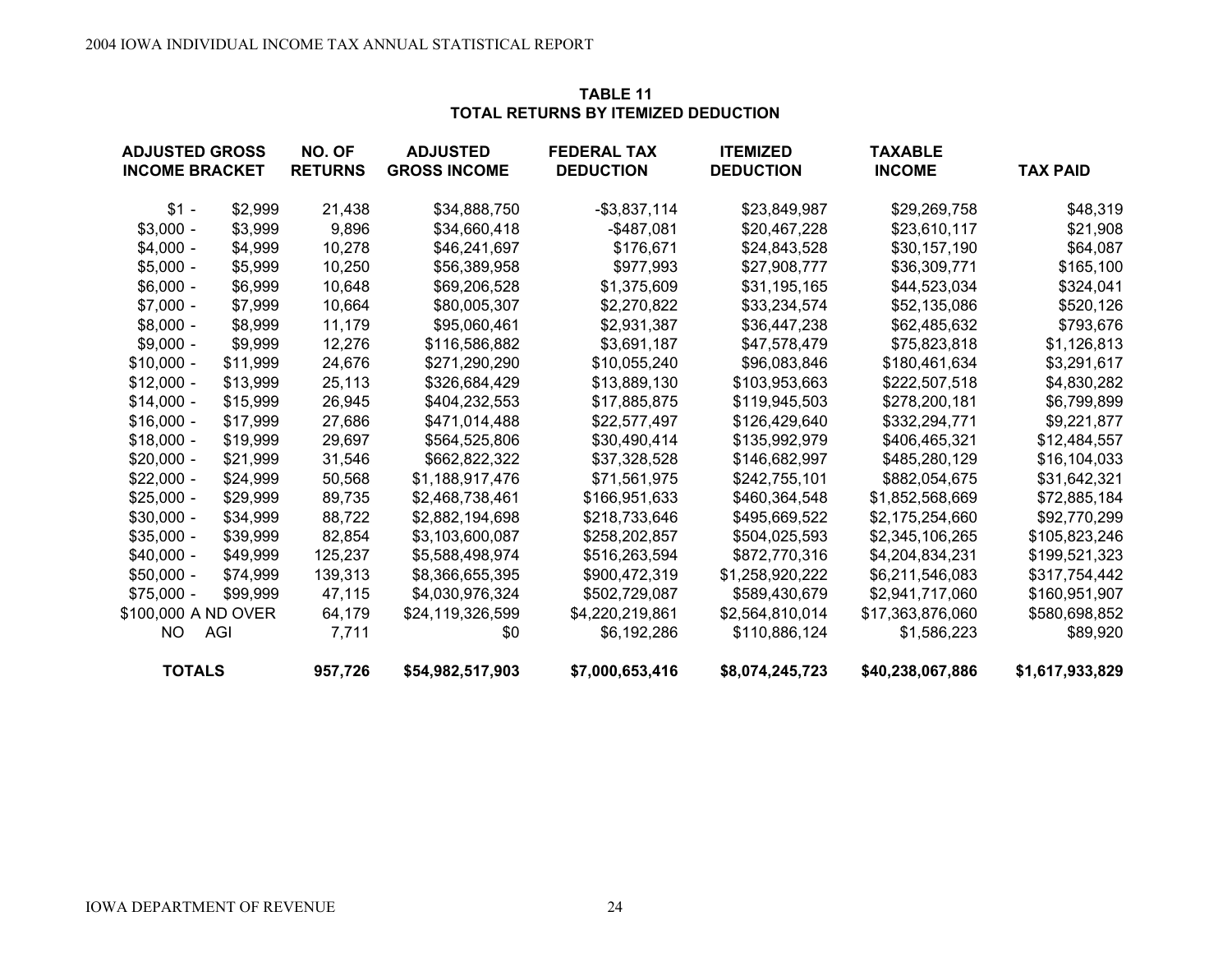| <b>ADJUSTED GROSS</b> |          | NO. OF         | <b>ADJUSTED</b>     | <b>FEDERAL TAX</b> | <b>ITEMIZED</b>  | <b>TAXABLE</b>   |                 |
|-----------------------|----------|----------------|---------------------|--------------------|------------------|------------------|-----------------|
| <b>INCOME BRACKET</b> |          | <b>RETURNS</b> | <b>GROSS INCOME</b> | <b>DEDUCTION</b>   | <b>DEDUCTION</b> | <b>INCOME</b>    | <b>TAX PAID</b> |
| $$1 -$                | \$2,999  | 21,438         | \$34,888,750        | $-$ \$3,837,114    | \$23,849,987     | \$29,269,758     | \$48,319        |
| $$3,000 -$            | \$3,999  | 9,896          | \$34,660,418        | -\$487,081         | \$20,467,228     | \$23,610,117     | \$21,908        |
| $$4,000 -$            | \$4,999  | 10,278         | \$46,241,697        | \$176,671          | \$24,843,528     | \$30,157,190     | \$64,087        |
| $$5,000 -$            | \$5,999  | 10,250         | \$56,389,958        | \$977,993          | \$27,908,777     | \$36,309,771     | \$165,100       |
| $$6,000 -$            | \$6,999  | 10,648         | \$69,206,528        | \$1,375,609        | \$31,195,165     | \$44,523,034     | \$324,041       |
| $$7,000 -$            | \$7,999  | 10,664         | \$80,005,307        | \$2,270,822        | \$33,234,574     | \$52,135,086     | \$520,126       |
| $$8,000 -$            | \$8,999  | 11,179         | \$95,060,461        | \$2,931,387        | \$36,447,238     | \$62,485,632     | \$793,676       |
| $$9,000 -$            | \$9,999  | 12,276         | \$116,586,882       | \$3,691,187        | \$47,578,479     | \$75,823,818     | \$1,126,813     |
| $$10,000 -$           | \$11,999 | 24,676         | \$271,290,290       | \$10,055,240       | \$96,083,846     | \$180,461,634    | \$3,291,617     |
| $$12,000 -$           | \$13,999 | 25,113         | \$326,684,429       | \$13,889,130       | \$103,953,663    | \$222,507,518    | \$4,830,282     |
| $$14,000 -$           | \$15,999 | 26,945         | \$404,232,553       | \$17,885,875       | \$119,945,503    | \$278,200,181    | \$6,799,899     |
| $$16,000 -$           | \$17,999 | 27,686         | \$471,014,488       | \$22,577,497       | \$126,429,640    | \$332,294,771    | \$9,221,877     |
| $$18,000 -$           | \$19,999 | 29,697         | \$564,525,806       | \$30,490,414       | \$135,992,979    | \$406,465,321    | \$12,484,557    |
| $$20,000 -$           | \$21,999 | 31,546         | \$662,822,322       | \$37,328,528       | \$146,682,997    | \$485,280,129    | \$16,104,033    |
| $$22,000 -$           | \$24,999 | 50,568         | \$1,188,917,476     | \$71,561,975       | \$242,755,101    | \$882,054,675    | \$31,642,321    |
| $$25,000 -$           | \$29,999 | 89,735         | \$2,468,738,461     | \$166,951,633      | \$460,364,548    | \$1,852,568,669  | \$72,885,184    |
| $$30,000 -$           | \$34,999 | 88,722         | \$2,882,194,698     | \$218,733,646      | \$495,669,522    | \$2,175,254,660  | \$92,770,299    |
| $$35,000 -$           | \$39,999 | 82,854         | \$3,103,600,087     | \$258,202,857      | \$504,025,593    | \$2,345,106,265  | \$105,823,246   |
| $$40,000 -$           | \$49,999 | 125,237        | \$5,588,498,974     | \$516,263,594      | \$872,770,316    | \$4,204,834,231  | \$199,521,323   |
| $$50,000 -$           | \$74,999 | 139,313        | \$8,366,655,395     | \$900,472,319      | \$1,258,920,222  | \$6,211,546,083  | \$317,754,442   |
| $$75,000 -$           | \$99,999 | 47,115         | \$4,030,976,324     | \$502,729,087      | \$589,430,679    | \$2,941,717,060  | \$160,951,907   |
| \$100,000 A ND OVER   |          | 64,179         | \$24,119,326,599    | \$4,220,219,861    | \$2,564,810,014  | \$17,363,876,060 | \$580,698,852   |
| NO.                   | AGI      | 7,711          | \$0                 | \$6,192,286        | \$110,886,124    | \$1,586,223      | \$89,920        |
| <b>TOTALS</b>         |          | 957,726        | \$54,982,517,903    | \$7,000,653,416    | \$8,074,245,723  | \$40,238,067,886 | \$1,617,933,829 |

## **TABLE 11TOTAL RETURNS BY ITEMIZED DEDUCTION**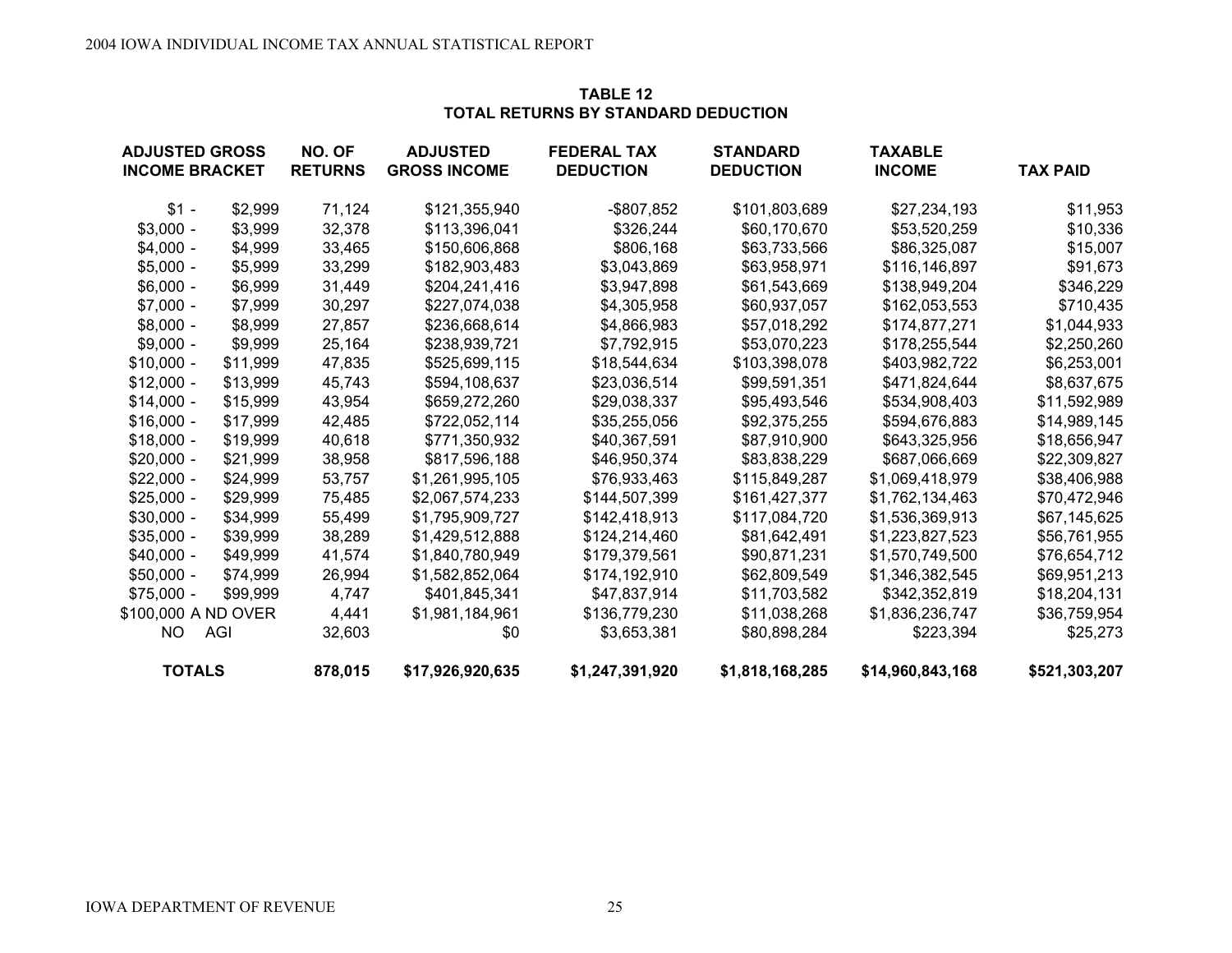| <b>ADJUSTED GROSS</b> |          | NO. OF         | <b>ADJUSTED</b>     | <b>FEDERAL TAX</b> | <b>STANDARD</b>  | <b>TAXABLE</b>   |                 |  |
|-----------------------|----------|----------------|---------------------|--------------------|------------------|------------------|-----------------|--|
| <b>INCOME BRACKET</b> |          | <b>RETURNS</b> | <b>GROSS INCOME</b> | <b>DEDUCTION</b>   | <b>DEDUCTION</b> | <b>INCOME</b>    | <b>TAX PAID</b> |  |
| $$1 -$                | \$2,999  | 71,124         | \$121,355,940       | $-$ \$807,852      | \$101,803,689    | \$27,234,193     | \$11,953        |  |
| $$3,000 -$            | \$3,999  | 32,378         | \$113,396,041       | \$326,244          | \$60,170,670     | \$53,520,259     | \$10,336        |  |
| $$4,000 -$            | \$4,999  | 33,465         | \$150,606,868       | \$806,168          | \$63,733,566     | \$86,325,087     | \$15,007        |  |
| $$5,000 -$            | \$5,999  | 33,299         | \$182,903,483       | \$3,043,869        | \$63,958,971     | \$116,146,897    | \$91,673        |  |
| $$6,000 -$            | \$6,999  | 31,449         | \$204,241,416       | \$3,947,898        | \$61,543,669     | \$138,949,204    | \$346,229       |  |
| $$7,000 -$            | \$7,999  | 30,297         | \$227,074,038       | \$4,305,958        | \$60,937,057     | \$162,053,553    | \$710,435       |  |
| $$8,000 -$            | \$8,999  | 27,857         | \$236,668,614       | \$4,866,983        | \$57,018,292     | \$174,877,271    | \$1,044,933     |  |
| $$9,000 -$            | \$9,999  | 25,164         | \$238,939,721       | \$7,792,915        | \$53,070,223     | \$178,255,544    | \$2,250,260     |  |
| $$10,000 -$           | \$11,999 | 47,835         | \$525,699,115       | \$18,544,634       | \$103,398,078    | \$403,982,722    | \$6,253,001     |  |
| $$12,000 -$           | \$13,999 | 45,743         | \$594,108,637       | \$23,036,514       | \$99,591,351     | \$471,824,644    | \$8,637,675     |  |
| $$14,000 -$           | \$15,999 | 43,954         | \$659,272,260       | \$29,038,337       | \$95,493,546     | \$534,908,403    | \$11,592,989    |  |
| $$16,000 -$           | \$17,999 | 42,485         | \$722,052,114       | \$35,255,056       | \$92,375,255     | \$594,676,883    | \$14,989,145    |  |
| $$18,000 -$           | \$19,999 | 40,618         | \$771,350,932       | \$40,367,591       | \$87,910,900     | \$643,325,956    | \$18,656,947    |  |
| $$20,000 -$           | \$21,999 | 38,958         | \$817,596,188       | \$46,950,374       | \$83,838,229     | \$687,066,669    | \$22,309,827    |  |
| $$22,000 -$           | \$24,999 | 53,757         | \$1,261,995,105     | \$76,933,463       | \$115,849,287    | \$1,069,418,979  | \$38,406,988    |  |
| $$25,000 -$           | \$29,999 | 75,485         | \$2,067,574,233     | \$144,507,399      | \$161,427,377    | \$1,762,134,463  | \$70,472,946    |  |
| $$30,000 -$           | \$34,999 | 55,499         | \$1,795,909,727     | \$142,418,913      | \$117,084,720    | \$1,536,369,913  | \$67,145,625    |  |
| $$35,000 -$           | \$39,999 | 38,289         | \$1,429,512,888     | \$124,214,460      | \$81,642,491     | \$1,223,827,523  | \$56,761,955    |  |
| $$40,000 -$           | \$49,999 | 41,574         | \$1,840,780,949     | \$179,379,561      | \$90,871,231     | \$1,570,749,500  | \$76,654,712    |  |
| $$50,000 -$           | \$74,999 | 26,994         | \$1,582,852,064     | \$174,192,910      | \$62,809,549     | \$1,346,382,545  | \$69,951,213    |  |
| $$75,000 -$           | \$99.999 | 4,747          | \$401,845,341       | \$47,837,914       | \$11,703,582     | \$342,352,819    | \$18,204,131    |  |
| \$100,000 A ND OVER   |          | 4,441          | \$1,981,184,961     | \$136,779,230      | \$11,038,268     | \$1,836,236,747  | \$36,759,954    |  |
| NO.                   | AGI      | 32,603         | \$0                 | \$3,653,381        | \$80,898,284     | \$223,394        | \$25,273        |  |
| <b>TOTALS</b>         |          | 878,015        | \$17,926,920,635    | \$1,247,391,920    | \$1,818,168,285  | \$14,960,843,168 | \$521,303,207   |  |

## **TABLE 12TOTAL RETURNS BY STANDARD DEDUCTION**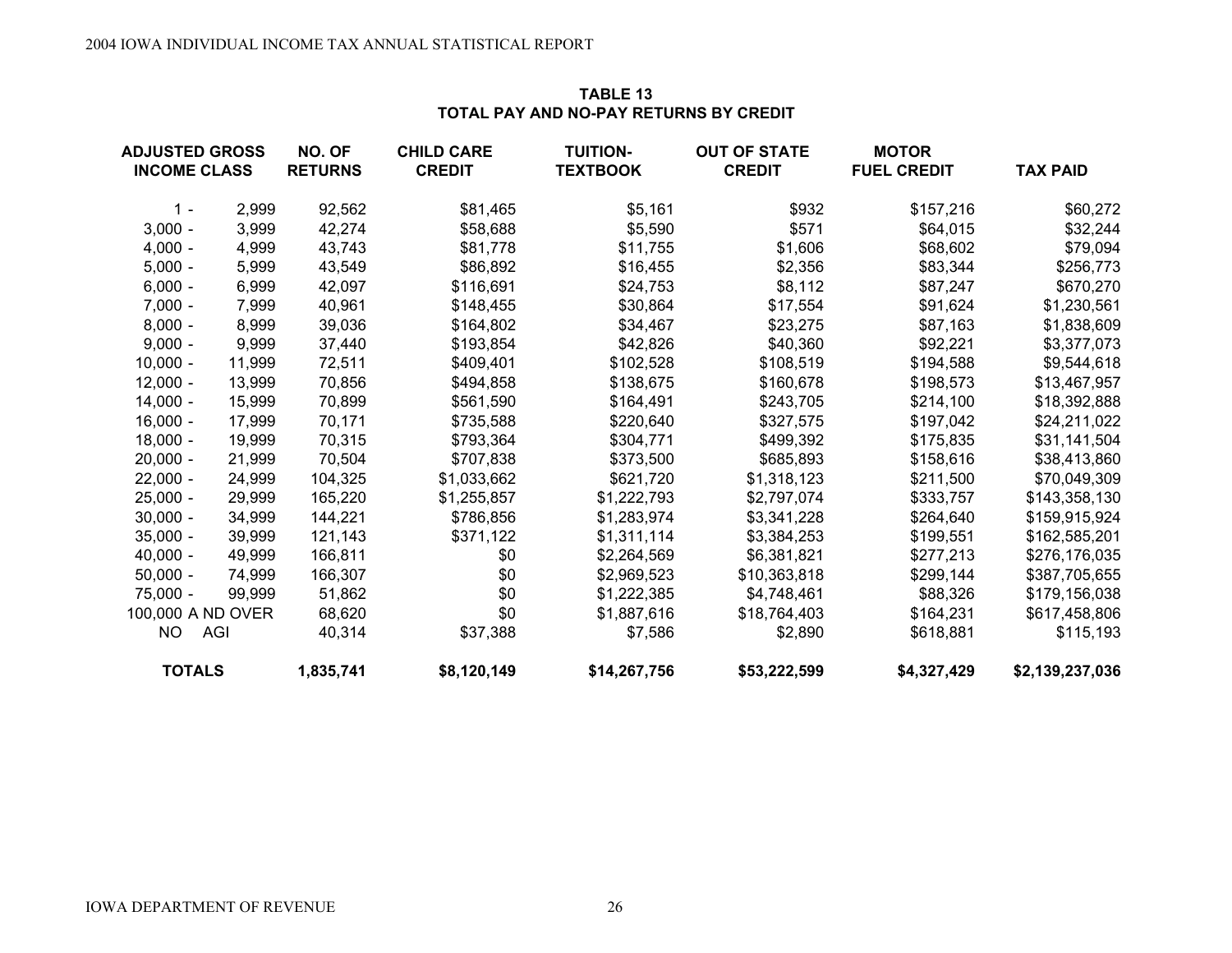| <b>ADJUSTED GROSS</b><br><b>INCOME CLASS</b> |        | NO. OF<br><b>RETURNS</b> | <b>CHILD CARE</b><br><b>CREDIT</b> | <b>TUITION-</b><br><b>TEXTBOOK</b> | <b>OUT OF STATE</b><br><b>CREDIT</b> | <b>MOTOR</b><br><b>FUEL CREDIT</b> | <b>TAX PAID</b> |
|----------------------------------------------|--------|--------------------------|------------------------------------|------------------------------------|--------------------------------------|------------------------------------|-----------------|
|                                              |        |                          |                                    |                                    |                                      |                                    |                 |
| $1 -$                                        | 2,999  | 92,562                   | \$81,465                           | \$5,161                            | \$932                                | \$157,216                          | \$60,272        |
| $3,000 -$                                    | 3,999  | 42,274                   | \$58,688                           | \$5,590                            | \$571                                | \$64,015                           | \$32,244        |
| $4,000 -$                                    | 4,999  | 43,743                   | \$81,778                           | \$11,755                           | \$1,606                              | \$68,602                           | \$79,094        |
| $5,000 -$                                    | 5,999  | 43,549                   | \$86,892                           | \$16,455                           | \$2,356                              | \$83,344                           | \$256,773       |
| $6,000 -$                                    | 6,999  | 42,097                   | \$116,691                          | \$24,753                           | \$8,112                              | \$87,247                           | \$670,270       |
| $7,000 -$                                    | 7,999  | 40,961                   | \$148,455                          | \$30,864                           | \$17,554                             | \$91,624                           | \$1,230,561     |
| $8,000 -$                                    | 8,999  | 39,036                   | \$164,802                          | \$34,467                           | \$23,275                             | \$87,163                           | \$1,838,609     |
| $9,000 -$                                    | 9,999  | 37,440                   | \$193,854                          | \$42,826                           | \$40,360                             | \$92,221                           | \$3,377,073     |
| $10,000 -$                                   | 11,999 | 72,511                   | \$409,401                          | \$102,528                          | \$108,519                            | \$194,588                          | \$9,544,618     |
| $12,000 -$                                   | 13,999 | 70,856                   | \$494,858                          | \$138,675                          | \$160,678                            | \$198,573                          | \$13,467,957    |
| $14,000 -$                                   | 15,999 | 70,899                   | \$561,590                          | \$164,491                          | \$243,705                            | \$214,100                          | \$18,392,888    |
| $16,000 -$                                   | 17,999 | 70,171                   | \$735,588                          | \$220,640                          | \$327,575                            | \$197,042                          | \$24,211,022    |
| $18,000 -$                                   | 19,999 | 70,315                   | \$793,364                          | \$304,771                          | \$499,392                            | \$175,835                          | \$31,141,504    |
| $20,000 -$                                   | 21,999 | 70,504                   | \$707,838                          | \$373,500                          | \$685,893                            | \$158,616                          | \$38,413,860    |
| $22,000 -$                                   | 24,999 | 104,325                  | \$1,033,662                        | \$621,720                          | \$1,318,123                          | \$211,500                          | \$70,049,309    |
| $25,000 -$                                   | 29,999 | 165,220                  | \$1,255,857                        | \$1,222,793                        | \$2,797,074                          | \$333,757                          | \$143,358,130   |
| $30,000 -$                                   | 34,999 | 144,221                  | \$786,856                          | \$1,283,974                        | \$3,341,228                          | \$264,640                          | \$159,915,924   |
| $35,000 -$                                   | 39,999 | 121,143                  | \$371,122                          | \$1,311,114                        | \$3,384,253                          | \$199,551                          | \$162,585,201   |
| $40,000 -$                                   | 49,999 | 166,811                  | \$0                                | \$2,264,569                        | \$6,381,821                          | \$277,213                          | \$276,176,035   |
| $50,000 -$                                   | 74,999 | 166,307                  | \$0                                | \$2,969,523                        | \$10,363,818                         | \$299,144                          | \$387,705,655   |
| $75,000 -$                                   | 99,999 | 51,862                   | \$0                                | \$1,222,385                        | \$4,748,461                          | \$88,326                           | \$179,156,038   |
| 100,000 A ND OVER                            |        | 68,620                   | \$0                                | \$1,887,616                        | \$18,764,403                         | \$164,231                          | \$617,458,806   |
| <b>NO</b>                                    | AGI    | 40,314                   | \$37,388                           | \$7,586                            | \$2,890                              | \$618,881                          | \$115,193       |
| <b>TOTALS</b>                                |        | 1,835,741                | \$8,120,149                        | \$14,267,756                       | \$53,222,599                         | \$4,327,429                        | \$2,139,237,036 |

## **TABLE 13TOTAL PAY AND NO-PAY RETURNS BY CREDIT**